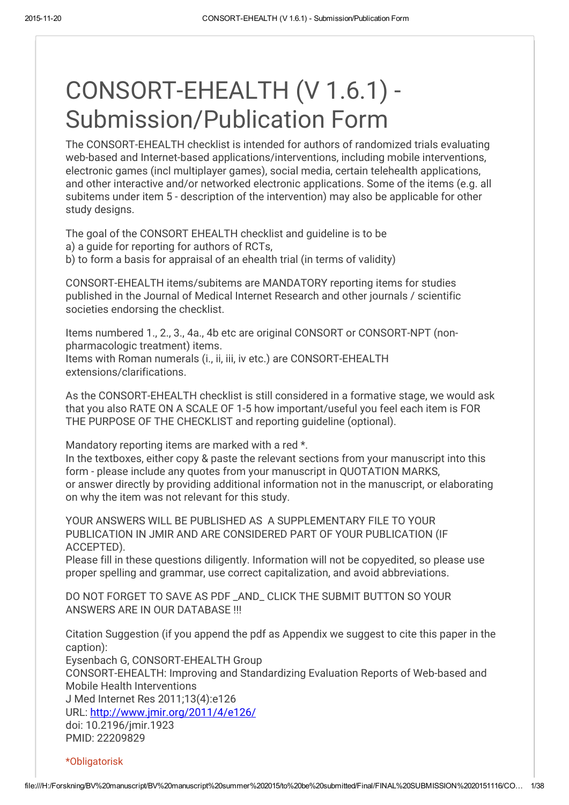# CONSORT-EHEALTH (V 1.6.1) - Submission/Publication Form

The CONSORT-EHEALTH checklist is intended for authors of randomized trials evaluating web-based and Internet-based applications/interventions, including mobile interventions, electronic games (incl multiplayer games), social media, certain telehealth applications, and other interactive and/or networked electronic applications. Some of the items (e.g. all subitems under item 5 - description of the intervention) may also be applicable for other study designs.

The goal of the CONSORT EHEALTH checklist and guideline is to be a) a guide for reporting for authors of RCTs, b) to form a basis for appraisal of an ehealth trial (in terms of validity)

CONSORT-EHEALTH items/subitems are MANDATORY reporting items for studies published in the Journal of Medical Internet Research and other journals / scientific societies endorsing the checklist.

Items numbered 1., 2., 3., 4a., 4b etc are original CONSORT or CONSORT-NPT (nonpharmacologic treatment) items. Items with Roman numerals (i., ii, iii, iv etc.) are CONSORT-EHEALTH extensions/clarifications.

As the CONSORT-EHEALTH checklist is still considered in a formative stage, we would ask that you also RATE ON A SCALE OF 1-5 how important/useful you feel each item is FOR THE PURPOSE OF THE CHECKLIST and reporting guideline (optional).

Mandatory reporting items are marked with a red \*.

In the textboxes, either copy & paste the relevant sections from your manuscript into this form - please include any quotes from your manuscript in QUOTATION MARKS, or answer directly by providing additional information not in the manuscript, or elaborating on why the item was not relevant for this study.

YOUR ANSWERS WILL BE PUBLISHED AS A SUPPLEMENTARY FILE TO YOUR PUBLICATION IN JMIR AND ARE CONSIDERED PART OF YOUR PUBLICATION (IF ACCEPTED).

Please fill in these questions diligently. Information will not be copyedited, so please use proper spelling and grammar, use correct capitalization, and avoid abbreviations.

DO NOT FORGET TO SAVE AS PDF \_AND\_ CLICK THE SUBMIT BUTTON SO YOUR ANSWERS ARE IN OUR DATABASE !!!

Citation Suggestion (if you append the pdf as Appendix we suggest to cite this paper in the caption):

Eysenbach G, CONSORT-EHEALTH Group

CONSORT-EHEALTH: Improving and Standardizing Evaluation Reports of Web-based and Mobile Health Interventions

J Med Internet Res 2011;13(4):e126 URL: [http://www.jmir.org/2011/4/e126/](http://www.google.com/url?q=http%3A%2F%2Fwww.jmir.org%2F2011%2F4%2Fe126%2F&sa=D&sntz=1&usg=AFQjCNHcSBsnEuIqswnqgBIgNhMLQCU_HQ) doi: 10.2196/jmir.1923 PMID: 22209829

\*Obligatorisk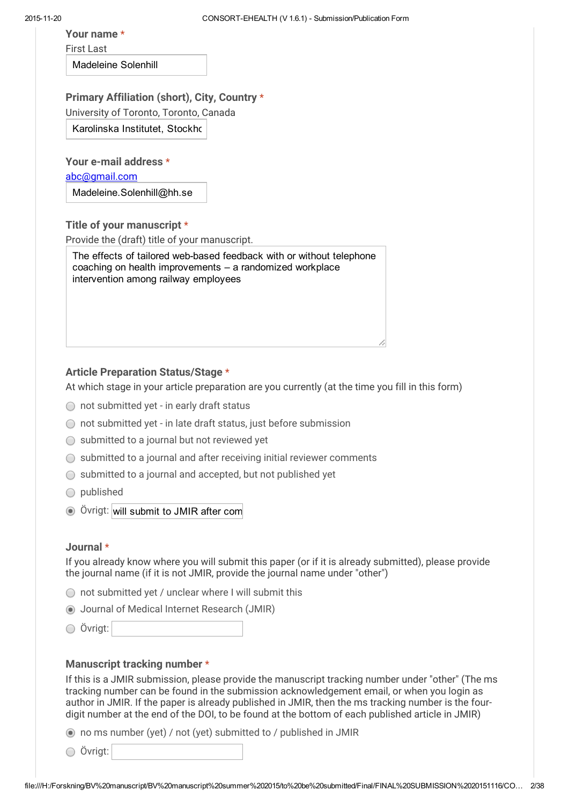Your name \*

First Last

Madeleine Solenhill

Primary Affiliation (short), City, Country \*

University of Toronto, Toronto, Canada

Karolinska Institutet, Stockhol

Your e-mail address \*

[abc@gmail.com](mailto:abc@gmail.com)

Madeleine.Solenhill@hh.se

Title of your manuscript \*

Provide the (draft) title of your manuscript.

The effects of tailored web-based feedback with or without telephone coaching on health improvements – a randomized workplace intervention among railway employees

### Article Preparation Status/Stage \*

At which stage in your article preparation are you currently (at the time you fill in this form)

- ◯ not submitted yet in early draft status
- not submitted yet in late draft status, just before submission
- $\bigcirc$  submitted to a journal but not reviewed yet
- $\bigcirc$  submitted to a journal and after receiving initial reviewer comments
- $\bigcirc$  submitted to a journal and accepted, but not published yet
- published
- Övrigt: will submit to JMIR after com

#### Journal \*

If you already know where you will submit this paper (or if it is already submitted), please provide the journal name (if it is not JMIR, provide the journal name under "other")

- $\bigcirc$  not submitted yet / unclear where I will submit this
- Journal of Medical Internet Research (JMIR)
- Övrigt:

#### Manuscript tracking number \*

If this is a JMIR submission, please provide the manuscript tracking number under "other" (The ms tracking number can be found in the submission acknowledgement email, or when you login as author in JMIR. If the paper is already published in JMIR, then the ms tracking number is the fourdigit number at the end of the DOI, to be found at the bottom of each published article in JMIR)

no ms number (yet) / not (yet) submitted to / published in JMIR

Övrigt: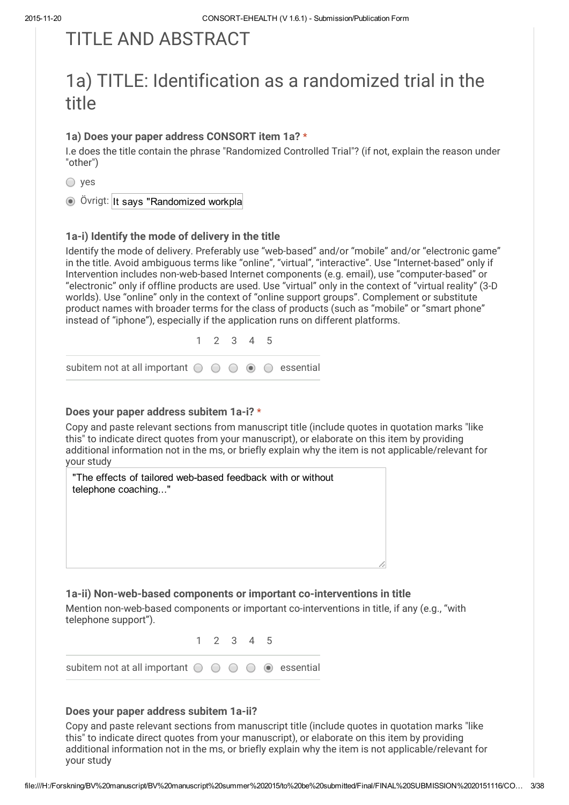# TITI F AND ABSTRACT

# 1a) TITLE: Identification as a randomized trial in the title

### 1a) Does your paper address CONSORT item 1a? \*

I.e does the title contain the phrase "Randomized Controlled Trial"? (if not, explain the reason under "other")

○ yes

Övrigt: It says "Randomized workpla

### 1a-i) Identify the mode of delivery in the title

Identify the mode of delivery. Preferably use "web-based" and/or "mobile" and/or "electronic game" in the title. Avoid ambiguous terms like "online", "virtual", "interactive". Use "Internet-based" only if Intervention includes non-web-based Internet components (e.g. email), use "computer-based" or "electronic" only if offline products are used. Use "virtual" only in the context of "virtual reality" (3-D worlds). Use "online" only in the context of "online support groups". Complement or substitute product names with broader terms for the class of products (such as "mobile" or "smart phone" instead of "iphone"), especially if the application runs on different platforms.

1 2 3 4 5

subitem not at all important  $\bigcirc$   $\bigcirc$   $\bigcirc$   $\bigcirc$   $\bigcirc$  essential

#### Does your paper address subitem 1a-i? \*

Copy and paste relevant sections from manuscript title (include quotes in quotation marks "like this" to indicate direct quotes from your manuscript), or elaborate on this item by providing additional information not in the ms, or briefly explain why the item is not applicable/relevant for your study



### 1a-ii) Non-web-based components or important co-interventions in title

Mention non-web-based components or important co-interventions in title, if any (e.g., "with telephone support").

1 2 3 4 5

subitem not at all important  $\bigcirc$   $\bigcirc$   $\bigcirc$   $\bigcirc$   $\bigcirc$  essential

### Does your paper address subitem 1a-ii?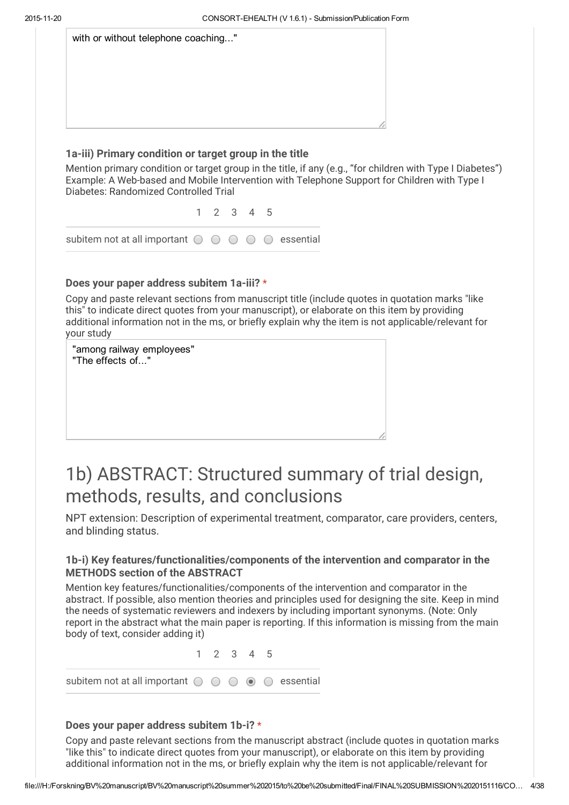| with or without telephone coaching" |  |  |  |
|-------------------------------------|--|--|--|
|                                     |  |  |  |
|                                     |  |  |  |
|                                     |  |  |  |
|                                     |  |  |  |

#### 1a-iii) Primary condition or target group in the title

Mention primary condition or target group in the title, if any (e.g., "for children with Type I Diabetes") Example: A Web-based and Mobile Intervention with Telephone Support for Children with Type I Diabetes: Randomized Controlled Trial

1 2 3 4 5

subitem not at all important  $\bigcirc$   $\bigcirc$   $\bigcirc$   $\bigcirc$   $\bigcirc$  essential

### Does your paper address subitem 1a-iii? \*

Copy and paste relevant sections from manuscript title (include quotes in quotation marks "like this" to indicate direct quotes from your manuscript), or elaborate on this item by providing additional information not in the ms, or briefly explain why the item is not applicable/relevant for your study

| "among railway employees"<br>"The effects of" |  |
|-----------------------------------------------|--|
|                                               |  |
|                                               |  |

# 1b) ABSTRACT: Structured summary of trial design, methods, results, and conclusions

NPT extension: Description of experimental treatment, comparator, care providers, centers, and blinding status.

### 1b-i) Key features/functionalities/components of the intervention and comparator in the METHODS section of the ABSTRACT

Mention key features/functionalities/components of the intervention and comparator in the abstract. If possible, also mention theories and principles used for designing the site. Keep in mind the needs of systematic reviewers and indexers by including important synonyms. (Note: Only report in the abstract what the main paper is reporting. If this information is missing from the main body of text, consider adding it)

1 2 3 4 5 subitem not at all important  $\bigcirc$   $\bigcirc$   $\bigcirc$   $\bigcirc$   $\bigcirc$  essential

### Does your paper address subitem 1b-i? \*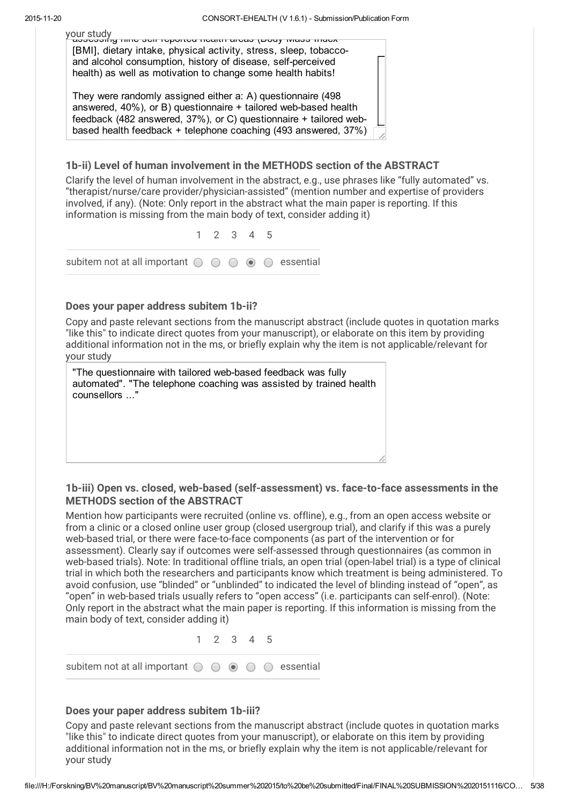your study<br>Fassessing nine seif-reported health areas (Body Mass Index [BMI], dietary intake, physical activity, stress, sleep, tobaccoand alcohol consumption, history of disease, self-perceived health) as well as motivation to change some health habits!

They were randomly assigned either a: A) questionnaire (498 answered,  $40\%$ ), or B) questionnaire  $+$  tailored web-based health feedback (482 answered, 37%), or C) questionnaire + tailored webbased health feedback + telephone coaching (493 answered, 37%)

### 1b-ii) Level of human involvement in the METHODS section of the ABSTRACT

Clarify the level of human involvement in the abstract, e.g., use phrases like "fully automated" vs. "therapist/nurse/care provider/physician-assisted" (mention number and expertise of providers involved, if any). (Note: Only report in the abstract what the main paper is reporting. If this information is missing from the main body of text, consider adding it)



### Does your paper address subitem 1b-ii?

Copy and paste relevant sections from the manuscript abstract (include quotes in quotation marks "like this" to indicate direct quotes from your manuscript), or elaborate on this item by providing additional information not in the ms, or briefly explain why the item is not applicable/relevant for your study

"The questionnaire with tailored web-based feedback was fully automated". "The telephone coaching was assisted by trained health counsellors ..."

### 1b-iii) Open vs. closed, web-based (self-assessment) vs. face-to-face assessments in the METHODS section of the ABSTRACT

Mention how participants were recruited (online vs. offline), e.g., from an open access website or from a clinic or a closed online user group (closed usergroup trial), and clarify if this was a purely web-based trial, or there were face-to-face components (as part of the intervention or for assessment). Clearly say if outcomes were self-assessed through questionnaires (as common in web-based trials). Note: In traditional offline trials, an open trial (open-label trial) is a type of clinical trial in which both the researchers and participants know which treatment is being administered. To avoid confusion, use "blinded" or "unblinded" to indicated the level of blinding instead of "open", as "open" in web-based trials usually refers to "open access" (i.e. participants can self-enrol). (Note: Only report in the abstract what the main paper is reporting. If this information is missing from the main body of text, consider adding it)

1 2 3 4 5

subitem not at all important  $\circ \circ \circ \circ \circ$  essential

#### Does your paper address subitem 1b-iii?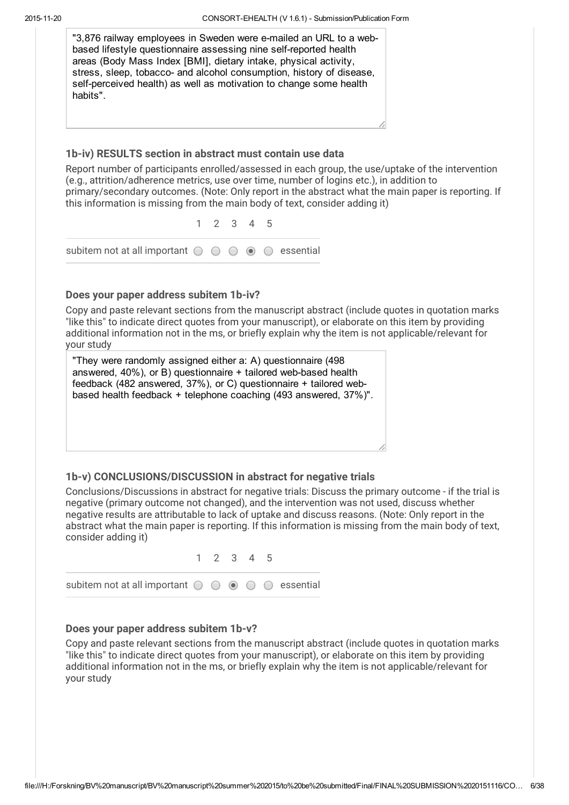| "3,876 railway employees in Sweden were e-mailed an URL to a web-<br>based lifestyle questionnaire assessing nine self-reported health<br>areas (Body Mass Index [BMI], dietary intake, physical activity,<br>stress, sleep, tobacco- and alcohol consumption, history of disease,<br>self-perceived health) as well as motivation to change some health<br>habits".                 |                     |           |  |
|--------------------------------------------------------------------------------------------------------------------------------------------------------------------------------------------------------------------------------------------------------------------------------------------------------------------------------------------------------------------------------------|---------------------|-----------|--|
|                                                                                                                                                                                                                                                                                                                                                                                      |                     |           |  |
| 1b-iv) RESULTS section in abstract must contain use data                                                                                                                                                                                                                                                                                                                             |                     |           |  |
| Report number of participants enrolled/assessed in each group, the use/uptake of the intervention<br>(e.g., attrition/adherence metrics, use over time, number of logins etc.), in addition to<br>primary/secondary outcomes. (Note: Only report in the abstract what the main paper is reporting. If<br>this information is missing from the main body of text, consider adding it) |                     |           |  |
|                                                                                                                                                                                                                                                                                                                                                                                      | $1 \t2 \t3 \t4 \t5$ |           |  |
| subitem not at all important $\bigcirc$ $\bigcirc$                                                                                                                                                                                                                                                                                                                                   | $\odot$             | essential |  |
| Does your paper address subitem 1b-iv?                                                                                                                                                                                                                                                                                                                                               |                     |           |  |
| Copy and paste relevant sections from the manuscript abstract (include quotes in quotation marks<br>"like this" to indicate direct quotes from your manuscript), or elaborate on this item by providing<br>additional information not in the ms, or briefly explain why the item is not applicable/relevant for<br>your study                                                        |                     |           |  |
| "They were randomly assigned either a: A) questionnaire (498)<br>answered, 40%), or B) questionnaire + tailored web-based health<br>feedback (482 answered, 37%), or C) questionnaire + tailored web-<br>based health feedback + telephone coaching (493 answered, 37%)".                                                                                                            |                     |           |  |

### 1b-v) CONCLUSIONS/DISCUSSION in abstract for negative trials

Conclusions/Discussions in abstract for negative trials: Discuss the primary outcome - if the trial is negative (primary outcome not changed), and the intervention was not used, discuss whether negative results are attributable to lack of uptake and discuss reasons. (Note: Only report in the abstract what the main paper is reporting. If this information is missing from the main body of text, consider adding it)



#### Does your paper address subitem 1b-v?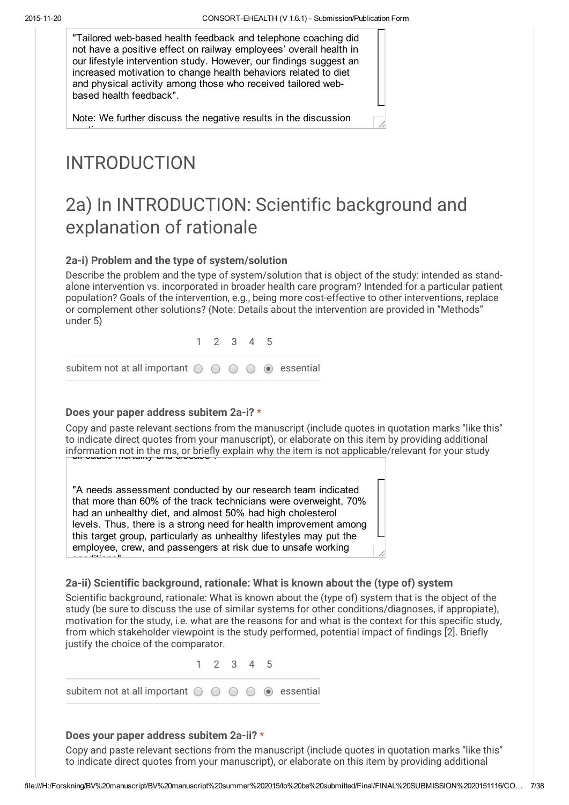"Tailored web-based health feedback and telephone coaching did not have a positive effect on railway employees' overall health in our lifestyle intervention study. However, our findings suggest an increased motivation to change health behaviors related to diet and physical activity among those who received tailored webbased health feedback".

Note: We further discuss the negative results in the discussion

# INTRODUCTION

section.

conditions".

# 2a) In INTRODUCTION: Scientific background and explanation of rationale

### 2a-i) Problem and the type of system/solution

Describe the problem and the type of system/solution that is object of the study: intended as standalone intervention vs. incorporated in broader health care program? Intended for a particular patient population? Goals of the intervention, e.g., being more cost-effective to other interventions, replace or complement other solutions? (Note: Details about the intervention are provided in "Methods" under 5)

1 2 3 4 5

subitem not at all important  $\bigcirc$   $\bigcirc$   $\bigcirc$   $\bigcirc$   $\circ$  essential

### Does your paper address subitem 2a-i? \*

Copy and paste relevant sections from the manuscript (include quotes in quotation marks "like this" to indicate direct quotes from your manuscript), or elaborate on this item by providing additional information not in the ms, or briefly explain why the item is not applicable/relevant for your study

"A needs assessment conducted by our research team indicated that more than 60% of the track technicians were overweight, 70% had an unhealthy diet, and almost 50% had high cholesterol levels. Thus, there is a strong need for health improvement among this target group, particularly as unhealthy lifestyles may put the employee, crew, and passengers at risk due to unsafe working

### 2a-ii) Scientific background, rationale: What is known about the (type of) system

Scientific background, rationale: What is known about the (type of) system that is the object of the study (be sure to discuss the use of similar systems for other conditions/diagnoses, if appropiate), motivation for the study, i.e. what are the reasons for and what is the context for this specific study, from which stakeholder viewpoint is the study performed, potential impact of findings [2]. Briefly justify the choice of the comparator.

1 2 3 4 5 subitem not at all important  $\circ \circ \circ \circ \bullet$  essential

#### Does your paper address subitem 2a-ii? \*

Copy and paste relevant sections from the manuscript (include quotes in quotation marks "like this" to indicate direct quotes from your manuscript), or elaborate on this item by providing additional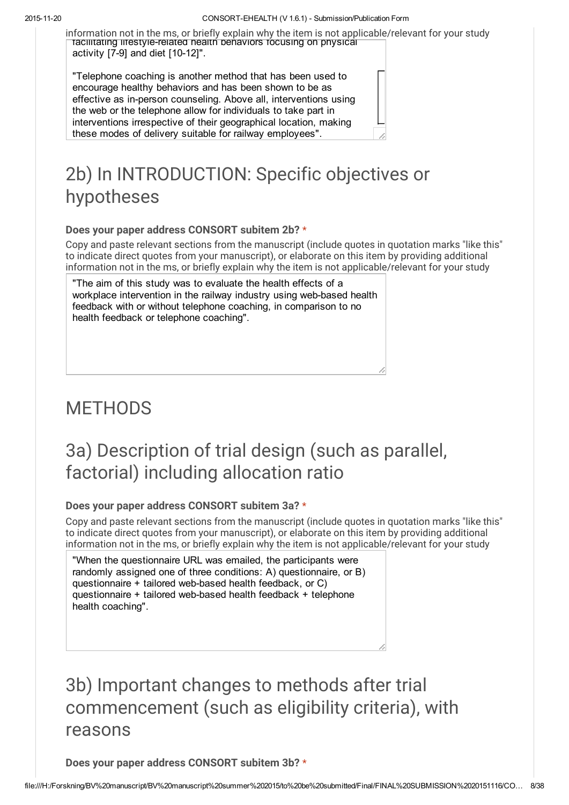information not in the ms, or briefly explain why the item is not applicable/relevant for your study facilitating lifestyle-related health behaviors focusing on physical activity  $[7-9]$  and diet  $[10-12]$ ".

"Telephone coaching is another method that has been used to encourage healthy behaviors and has been shown to be as effective as in-person counseling. Above all, interventions using the web or the telephone allow for individuals to take part in interventions irrespective of their geographical location, making these modes of delivery suitable for railway employees".

# 2b) In INTRODUCTION: Specific objectives or hypotheses

### Does your paper address CONSORT subitem 2b? \*

Copy and paste relevant sections from the manuscript (include quotes in quotation marks "like this" to indicate direct quotes from your manuscript), or elaborate on this item by providing additional information not in the ms, or briefly explain why the item is not applicable/relevant for your study

"The aim of this study was to evaluate the health effects of a workplace intervention in the railway industry using web-based health feedback with or without telephone coaching, in comparison to no health feedback or telephone coaching".

# **METHODS**

# 3a) Description of trial design (such as parallel, factorial) including allocation ratio

### Does your paper address CONSORT subitem 3a? \*

Copy and paste relevant sections from the manuscript (include quotes in quotation marks "like this" to indicate direct quotes from your manuscript), or elaborate on this item by providing additional information not in the ms, or briefly explain why the item is not applicable/relevant for your study

"When the questionnaire URL was emailed, the participants were randomly assigned one of three conditions: A) questionnaire, or B) questionnaire + tailored web-based health feedback, or C) questionnaire + tailored web-based health feedback + telephone health coaching".

# 3b) Important changes to methods after trial commencement (such as eligibility criteria), with reasons

Does your paper address CONSORT subitem 3b? \*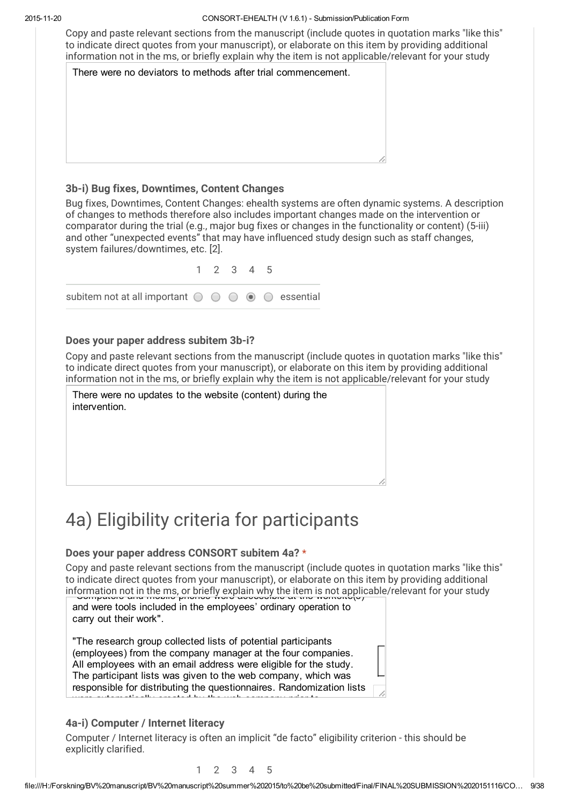Copy and paste relevant sections from the manuscript (include quotes in quotation marks "like this" to indicate direct quotes from your manuscript), or elaborate on this item by providing additional information not in the ms, or briefly explain why the item is not applicable/relevant for your study

| There were no deviators to methods after trial commencement. |  |
|--------------------------------------------------------------|--|
|                                                              |  |
|                                                              |  |
|                                                              |  |
|                                                              |  |
|                                                              |  |
|                                                              |  |
|                                                              |  |
|                                                              |  |

### 3b-i) Bug fixes, Downtimes, Content Changes

Bug fixes, Downtimes, Content Changes: ehealth systems are often dynamic systems. A description of changes to methods therefore also includes important changes made on the intervention or comparator during the trial (e.g., major bug fixes or changes in the functionality or content) (5-iii) and other "unexpected events" that may have influenced study design such as staff changes, system failures/downtimes, etc. [2].

|                                                                                               | 1 2 3 4 5 |  |  |
|-----------------------------------------------------------------------------------------------|-----------|--|--|
| subitem not at all important $\bigcirc$ $\bigcirc$ $\bigcirc$ $\bigcirc$ $\bigcirc$ essential |           |  |  |

### Does your paper address subitem 3b-i?

Copy and paste relevant sections from the manuscript (include quotes in quotation marks "like this" to indicate direct quotes from your manuscript), or elaborate on this item by providing additional information not in the ms, or briefly explain why the item is not applicable/relevant for your study

There were no updates to the website (content) during the intervention.

# 4a) Eligibility criteria for participants

### Does your paper address CONSORT subitem 4a? \*

Copy and paste relevant sections from the manuscript (include quotes in quotation marks "like this" to indicate direct quotes from your manuscript), or elaborate on this item by providing additional information not in the ms, or briefly explain why the item is not applicable/relevant for your study<br>Discription and mobile priorics were accessible at the worksheety

and were tools included in the employees' ordinary operation to carry out their work".

"The research group collected lists of potential participants (employees) from the company manager at the four companies. All employees with an email address were eligible for the study. The participant lists was given to the web company, which was responsible for distributing the questionnaires. Randomization lists were automatically created by the web company prior to

### 4a-i) Computer / Internet literacy

Computer / Internet literacy is often an implicit "de facto" eligibility criterion - this should be explicitly clarified.

1 2 3 4 5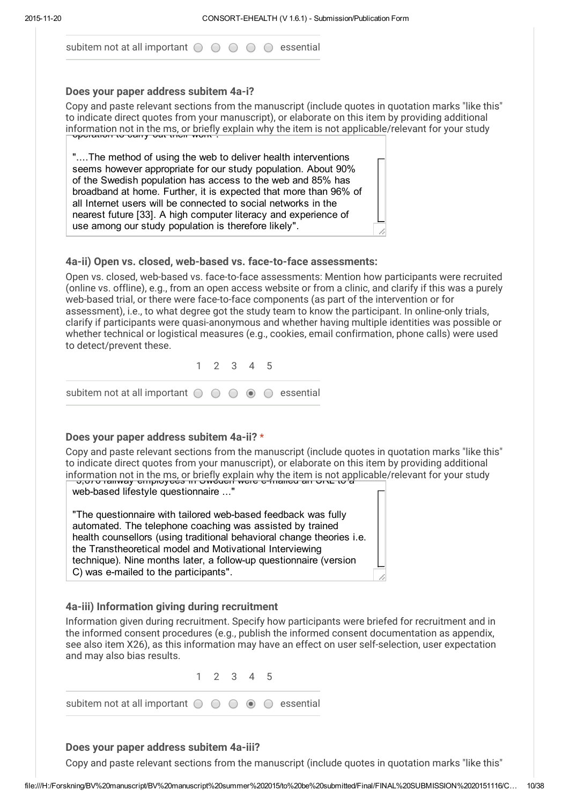subitem not at all important  $\circ \circ \circ \circ \circ$  essential

#### Does your paper address subitem 4a-i?

Copy and paste relevant sections from the manuscript (include quotes in quotation marks "like this" to indicate direct quotes from your manuscript), or elaborate on this item by providing additional information not in the ms, or briefly explain why the item is not applicable/relevant for your study operation to carry out their work".

"....The method of using the web to deliver health interventions seems however appropriate for our study population. About 90% of the Swedish population has access to the web and 85% has broadband at home. Further, it is expected that more than 96% of all Internet users will be connected to social networks in the nearest future [33]. A high computer literacy and experience of use among our study population is therefore likely".

### 4a-ii) Open vs. closed, web-based vs. face-to-face assessments:

Open vs. closed, web-based vs. face-to-face assessments: Mention how participants were recruited (online vs. offline), e.g., from an open access website or from a clinic, and clarify if this was a purely web-based trial, or there were face-to-face components (as part of the intervention or for assessment), i.e., to what degree got the study team to know the participant. In online-only trials, clarify if participants were quasi-anonymous and whether having multiple identities was possible or whether technical or logistical measures (e.g., cookies, email confirmation, phone calls) were used to detect/prevent these.

|                                                                                               | 1 2 3 4 5 |  |  |
|-----------------------------------------------------------------------------------------------|-----------|--|--|
| subitem not at all important $\bigcirc$ $\bigcirc$ $\bigcirc$ $\bigcirc$ $\bigcirc$ essential |           |  |  |

### Does your paper address subitem 4a-ii? \*

Copy and paste relevant sections from the manuscript (include quotes in quotation marks "like this" to indicate direct quotes from your manuscript), or elaborate on this item by providing additional information not in the ms, or briefly explain why the item is not applicable/relevant for your study<br>Discover commay employees in Oweaen were emailed an Orle to a

web-based lifestyle questionnaire ..."

"The questionnaire with tailored web-based feedback was fully automated. The telephone coaching was assisted by trained health counsellors (using traditional behavioral change theories i.e. the Transtheoretical model and Motivational Interviewing technique). Nine months later, a follow-up questionnaire (version C) was e-mailed to the participants".

### 4a-iii) Information giving during recruitment

Information given during recruitment. Specify how participants were briefed for recruitment and in the informed consent procedures (e.g., publish the informed consent documentation as appendix, see also item X26), as this information may have an effect on user self-selection, user expectation and may also bias results.

1 2 3 4 5

subitem not at all important  $\bigcirc$   $\bigcirc$   $\bigcirc$   $\circ$   $\circ$  essential

### Does your paper address subitem 4a-iii?

Copy and paste relevant sections from the manuscript (include quotes in quotation marks "like this"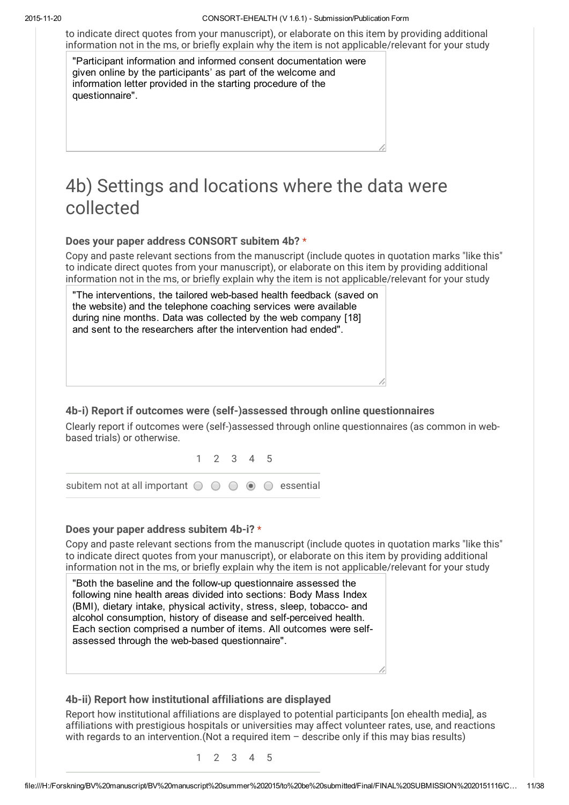to indicate direct quotes from your manuscript), or elaborate on this item by providing additional information not in the ms, or briefly explain why the item is not applicable/relevant for your study

"Participant information and informed consent documentation were given online by the participants' as part of the welcome and information letter provided in the starting procedure of the questionnaire".

# 4b) Settings and locations where the data were collected

#### Does your paper address CONSORT subitem 4b? \*

Copy and paste relevant sections from the manuscript (include quotes in quotation marks "like this" to indicate direct quotes from your manuscript), or elaborate on this item by providing additional information not in the ms, or briefly explain why the item is not applicable/relevant for your study

"The interventions, the tailored web-based health feedback (saved on the website) and the telephone coaching services were available during nine months. Data was collected by the web company [18] and sent to the researchers after the intervention had ended".

### 4b-i) Report if outcomes were (self-)assessed through online questionnaires

Clearly report if outcomes were (self-)assessed through online questionnaires (as common in webbased trials) or otherwise.

1 2 3 4 5 subitem not at all important  $\bigcirc$   $\bigcirc$   $\bigcirc$   $\bigcirc$   $\bigcirc$  essential

#### Does your paper address subitem 4b-i? \*

Copy and paste relevant sections from the manuscript (include quotes in quotation marks "like this" to indicate direct quotes from your manuscript), or elaborate on this item by providing additional information not in the ms, or briefly explain why the item is not applicable/relevant for your study

"Both the baseline and the follow-up questionnaire assessed the following nine health areas divided into sections: Body Mass Index (BMI), dietary intake, physical activity, stress, sleep, tobacco- and alcohol consumption, history of disease and self-perceived health. Each section comprised a number of items. All outcomes were selfassessed through the web-based questionnaire".

#### 4b-ii) Report how institutional affiliations are displayed

Report how institutional affiliations are displayed to potential participants [on ehealth media], as affiliations with prestigious hospitals or universities may affect volunteer rates, use, and reactions with regards to an intervention. (Not a required item - describe only if this may bias results)

1 2 3 4 5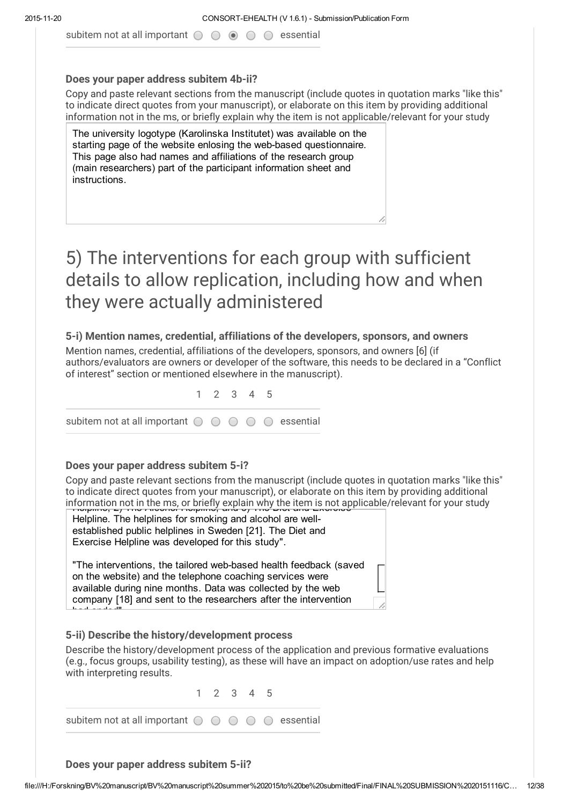subitem not at all important  $\bigcirc$   $\bigcirc$   $\bigcirc$   $\bigcirc$   $\bigcirc$  essential

#### Does your paper address subitem 4b-ii?

Copy and paste relevant sections from the manuscript (include quotes in quotation marks "like this" to indicate direct quotes from your manuscript), or elaborate on this item by providing additional information not in the ms, or briefly explain why the item is not applicable/relevant for your study

The university logotype (Karolinska Institutet) was available on the starting page of the website enlosing the web-based questionnaire. This page also had names and affiliations of the research group (main researchers) part of the participant information sheet and instructions.

# 5) The interventions for each group with sufficient details to allow replication, including how and when they were actually administered

### 5-i) Mention names, credential, affiliations of the developers, sponsors, and owners

Mention names, credential, affiliations of the developers, sponsors, and owners [6] (if authors/evaluators are owners or developer of the software, this needs to be declared in a "Conflict of interest" section or mentioned elsewhere in the manuscript).

|                                                                                               | 1 2 3 4 5 |  |  |
|-----------------------------------------------------------------------------------------------|-----------|--|--|
| subitem not at all important $\bigcirc$ $\bigcirc$ $\bigcirc$ $\bigcirc$ $\bigcirc$ essential |           |  |  |

#### Does your paper address subitem 5-i?

Copy and paste relevant sections from the manuscript (include quotes in quotation marks "like this" to indicate direct quotes from your manuscript), or elaborate on this item by providing additional information not in the ms, or briefly explain why the item is not applicable/relevant for your study

Helpline. The helplines for smoking and alcohol are wellestablished public helplines in Sweden [21]. The Diet and Exercise Helpline was developed for this study".

"The interventions, the tailored web-based health feedback (saved on the website) and the telephone coaching services were available during nine months. Data was collected by the web company [18] and sent to the researchers after the intervention had ended".

#### 5-ii) Describe the history/development process

Describe the history/development process of the application and previous formative evaluations (e.g., focus groups, usability testing), as these will have an impact on adoption/use rates and help with interpreting results.



Does your paper address subitem 5-ii?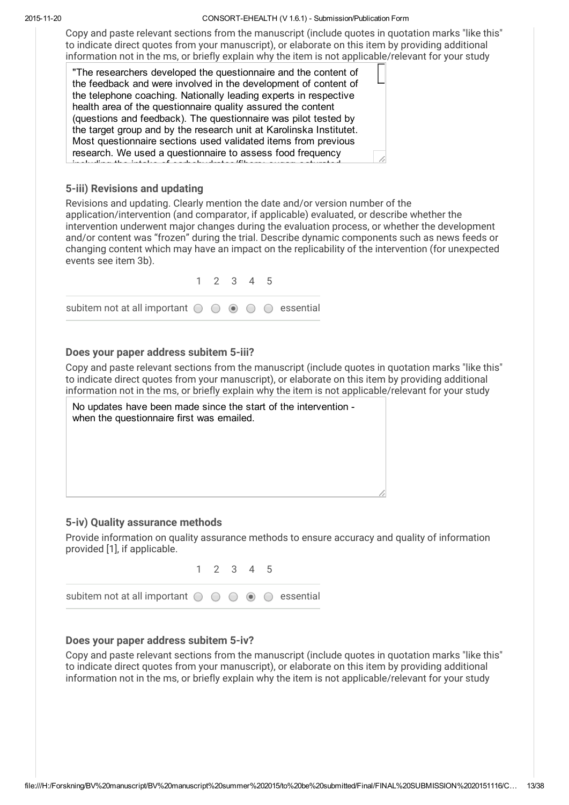#### 20151120 CONSORTEHEALTH (V 1.6.1) Submission/Publication Form

Copy and paste relevant sections from the manuscript (include quotes in quotation marks "like this" to indicate direct quotes from your manuscript), or elaborate on this item by providing additional information not in the ms, or briefly explain why the item is not applicable/relevant for your study

"The researchers developed the questionnaire and the content of the feedback and were involved in the development of content of the telephone coaching. Nationally leading experts in respective health area of the questionnaire quality assured the content (questions and feedback). The questionnaire was pilot tested by the target group and by the research unit at Karolinska Institutet. Most questionnaire sections used validated items from previous research. We used a questionnaire to assess food frequency in the interface of carbohydrates of  $f$  is the interface of  $f$  in  $\mathcal{G}$  in

### 5-iii) Revisions and updating

Revisions and updating. Clearly mention the date and/or version number of the application/intervention (and comparator, if applicable) evaluated, or describe whether the intervention underwent major changes during the evaluation process, or whether the development and/or content was "frozen" during the trial. Describe dynamic components such as news feeds or changing content which may have an impact on the replicability of the intervention (for unexpected events see item 3b).

|                                                                                               | 1 2 3 4 5 |  |  |
|-----------------------------------------------------------------------------------------------|-----------|--|--|
| subitem not at all important $\bigcirc$ $\bigcirc$ $\bigcirc$ $\bigcirc$ $\bigcirc$ essential |           |  |  |

#### Does your paper address subitem 5-iii?

Copy and paste relevant sections from the manuscript (include quotes in quotation marks "like this" to indicate direct quotes from your manuscript), or elaborate on this item by providing additional information not in the ms, or briefly explain why the item is not applicable/relevant for your study



#### 5-iv) Quality assurance methods

Provide information on quality assurance methods to ensure accuracy and quality of information provided [1], if applicable.



### Does your paper address subitem 5-iv?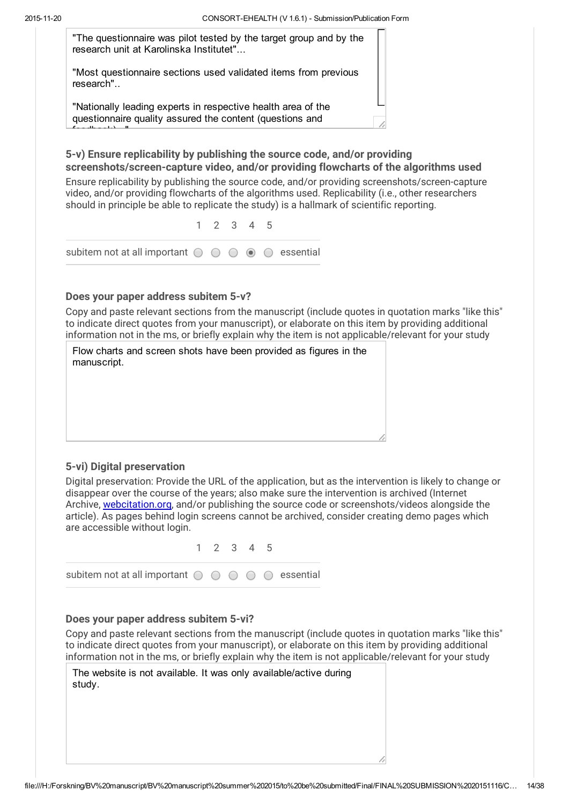feedback)..."

"The questionnaire was pilot tested by the target group and by the research unit at Karolinska Institutet"...

"Most questionnaire sections used validated items from previous research"..

"Nationally leading experts in respective health area of the questionnaire quality assured the content (questions and

5-v) Ensure replicability by publishing the source code, and/or providing screenshots/screen-capture video, and/or providing flowcharts of the algorithms used

Ensure replicability by publishing the source code, and/or providing screenshots/screen-capture video, and/or providing flowcharts of the algorithms used. Replicability (i.e., other researchers should in principle be able to replicate the study) is a hallmark of scientific reporting.

|                                                                                               | 1 2 3 4 5 |  |  |
|-----------------------------------------------------------------------------------------------|-----------|--|--|
| subitem not at all important $\bigcirc$ $\bigcirc$ $\bigcirc$ $\bigcirc$ $\bigcirc$ essential |           |  |  |

#### Does your paper address subitem 5-v?

Copy and paste relevant sections from the manuscript (include quotes in quotation marks "like this" to indicate direct quotes from your manuscript), or elaborate on this item by providing additional information not in the ms, or briefly explain why the item is not applicable/relevant for your study

| Flow charts and screen shots have been provided as figures in the |
|-------------------------------------------------------------------|
| manuscript.                                                       |
|                                                                   |

### 5-vi) Digital preservation

Digital preservation: Provide the URL of the application, but as the intervention is likely to change or disappear over the course of the years; also make sure the intervention is archived (Internet Archive, [webcitation.org,](http://www.google.com/url?q=http%3A%2F%2Fwebcitation.org&sa=D&sntz=1&usg=AFQjCNF5aavyTfM70vR_B1lH1M8RE-Q0QA) and/or publishing the source code or screenshots/videos alongside the article). As pages behind login screens cannot be archived, consider creating demo pages which are accessible without login.



#### Does your paper address subitem 5-vi?

| The website is not available. It was only available/active during |  |  |
|-------------------------------------------------------------------|--|--|
| study.                                                            |  |  |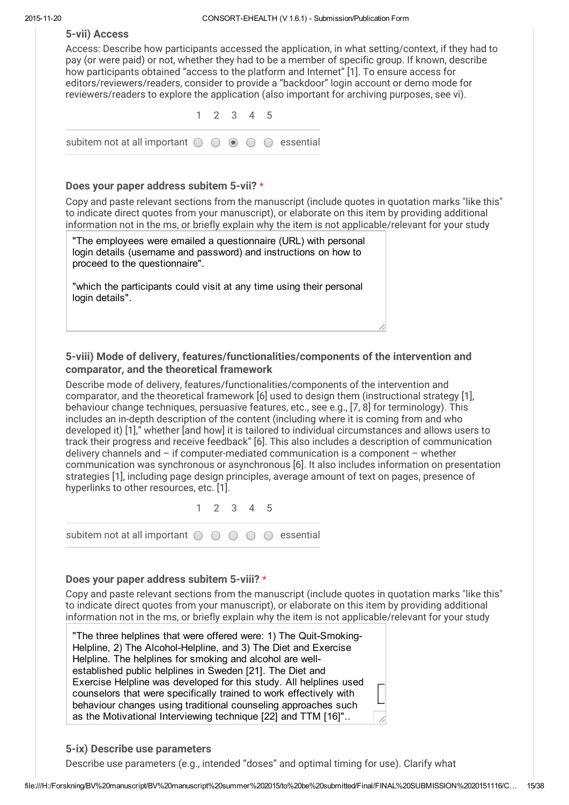#### 5-vii) Access

Access: Describe how participants accessed the application, in what setting/context, if they had to pay (or were paid) or not, whether they had to be a member of specific group. If known, describe how participants obtained "access to the platform and Internet" [1]. To ensure access for editors/reviewers/readers, consider to provide a "backdoor" login account or demo mode for reviewers/readers to explore the application (also important for archiving purposes, see vi).

1 2 3 4 5 subitem not at all important  $\bigcirc$   $\bigcirc$   $\circ$   $\bigcirc$   $\bigcirc$  essential

#### Does your paper address subitem 5-vii? \*

Copy and paste relevant sections from the manuscript (include quotes in quotation marks "like this" to indicate direct quotes from your manuscript), or elaborate on this item by providing additional information not in the ms, or briefly explain why the item is not applicable/relevant for your study

"The employees were emailed a questionnaire (URL) with personal login details (username and password) and instructions on how to proceed to the questionnaire".

"which the participants could visit at any time using their personal login details".

### 5-viii) Mode of delivery, features/functionalities/components of the intervention and comparator, and the theoretical framework

Describe mode of delivery, features/functionalities/components of the intervention and comparator, and the theoretical framework [6] used to design them (instructional strategy [1], behaviour change techniques, persuasive features, etc., see e.g., [7, 8] for terminology). This includes an in-depth description of the content (including where it is coming from and who developed it) [1]," whether [and how] it is tailored to individual circumstances and allows users to track their progress and receive feedback" [6]. This also includes a description of communication delivery channels and – if computer-mediated communication is a component – whether communication was synchronous or asynchronous [6]. It also includes information on presentation strategies [1], including page design principles, average amount of text on pages, presence of hyperlinks to other resources, etc. [1].

1 2 3 4 5

subitem not at all important  $\circ \circ \circ \circ \circ$  essential

#### Does your paper address subitem 5-viii? \*

Copy and paste relevant sections from the manuscript (include quotes in quotation marks "like this" to indicate direct quotes from your manuscript), or elaborate on this item by providing additional information not in the ms, or briefly explain why the item is not applicable/relevant for your study

"The three helplines that were offered were: 1) The Quit-Smoking-Helpline, 2) The Alcohol-Helpline, and 3) The Diet and Exercise Helpline. The helplines for smoking and alcohol are wellestablished public helplines in Sweden [21]. The Diet and Exercise Helpline was developed for this study. All helplines used counselors that were specifically trained to work effectively with behaviour changes using traditional counseling approaches such as the Motivational Interviewing technique [22] and TTM [16]"..

### 5-ix) Describe use parameters

Describe use parameters (e.g., intended "doses" and optimal timing for use). Clarify what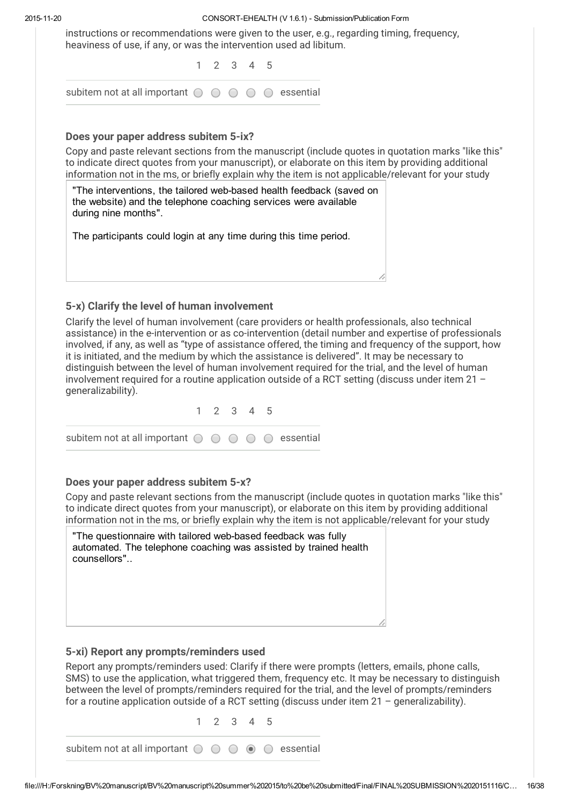#### 20151120 CONSORTEHEALTH (V 1.6.1) Submission/Publication Form

instructions or recommendations were given to the user, e.g., regarding timing, frequency, heaviness of use, if any, or was the intervention used ad libitum.

1 2 3 4 5

|                                                                                               |  | I Z J <del>4</del> J |  |  |
|-----------------------------------------------------------------------------------------------|--|----------------------|--|--|
| subitem not at all important $\bigcirc$ $\bigcirc$ $\bigcirc$ $\bigcirc$ $\bigcirc$ essential |  |                      |  |  |

### Does your paper address subitem 5-ix?

Copy and paste relevant sections from the manuscript (include quotes in quotation marks "like this" to indicate direct quotes from your manuscript), or elaborate on this item by providing additional information not in the ms, or briefly explain why the item is not applicable/relevant for your study

"The interventions, the tailored web-based health feedback (saved on the website) and the telephone coaching services were available during nine months".

The participants could login at any time during this time period.

### 5-x) Clarify the level of human involvement

Clarify the level of human involvement (care providers or health professionals, also technical assistance) in the e-intervention or as co-intervention (detail number and expertise of professionals involved, if any, as well as "type of assistance offered, the timing and frequency of the support, how it is initiated, and the medium by which the assistance is delivered". It may be necessary to distinguish between the level of human involvement required for the trial, and the level of human involvement required for a routine application outside of a RCT setting (discuss under item 21 – generalizability).

|                                                                                               | 1 2 3 4 5 |  |  |
|-----------------------------------------------------------------------------------------------|-----------|--|--|
| subitem not at all important $\bigcirc$ $\bigcirc$ $\bigcirc$ $\bigcirc$ $\bigcirc$ essential |           |  |  |

### Does your paper address subitem 5-x?

Copy and paste relevant sections from the manuscript (include quotes in quotation marks "like this" to indicate direct quotes from your manuscript), or elaborate on this item by providing additional information not in the ms, or briefly explain why the item is not applicable/relevant for your study

| "The questionnaire with tailored web-based feedback was fully<br>automated. The telephone coaching was assisted by trained health<br>counsellors" |  |
|---------------------------------------------------------------------------------------------------------------------------------------------------|--|
|                                                                                                                                                   |  |
|                                                                                                                                                   |  |

### 5-xi) Report any prompts/reminders used

Report any prompts/reminders used: Clarify if there were prompts (letters, emails, phone calls, SMS) to use the application, what triggered them, frequency etc. It may be necessary to distinguish between the level of prompts/reminders required for the trial, and the level of prompts/reminders for a routine application outside of a RCT setting (discuss under item 21 – generalizability).

1 2 3 4 5 subitem not at all important  $\circ \circ \circ \circ \circ$  essential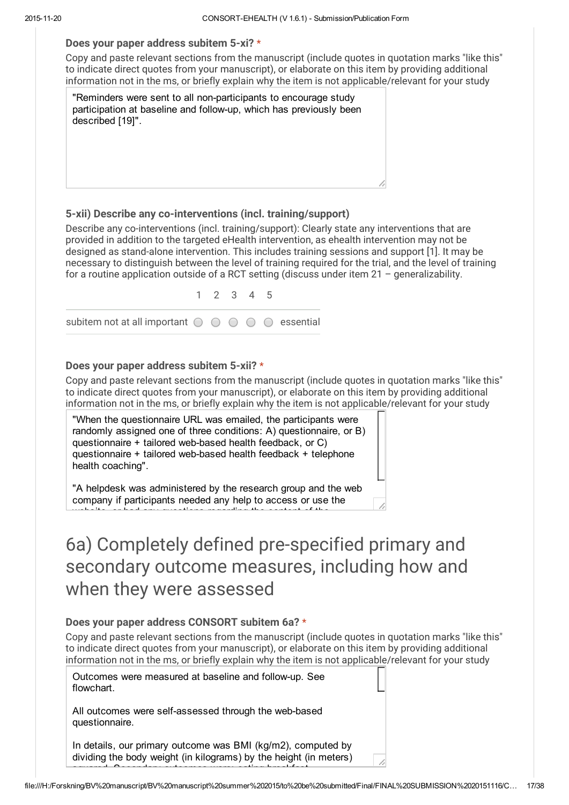#### Does your paper address subitem 5-xi? \*

Copy and paste relevant sections from the manuscript (include quotes in quotation marks "like this" to indicate direct quotes from your manuscript), or elaborate on this item by providing additional information not in the ms, or briefly explain why the item is not applicable/relevant for your study

"Reminders were sent to all non-participants to encourage study participation at baseline and follow-up, which has previously been described [19]".

#### 5-xii) Describe any co-interventions (incl. training/support)

Describe any co-interventions (incl. training/support): Clearly state any interventions that are provided in addition to the targeted eHealth intervention, as ehealth intervention may not be designed as stand-alone intervention. This includes training sessions and support [1]. It may be necessary to distinguish between the level of training required for the trial, and the level of training for a routine application outside of a RCT setting (discuss under item 21 – generalizability.

1 2 3 4 5 subitem not at all important  $\bigcirc$   $\bigcirc$   $\bigcirc$   $\bigcirc$   $\bigcirc$  essential

#### Does your paper address subitem 5-xii? \*

Copy and paste relevant sections from the manuscript (include quotes in quotation marks "like this" to indicate direct quotes from your manuscript), or elaborate on this item by providing additional information not in the ms, or briefly explain why the item is not applicable/relevant for your study

"When the questionnaire URL was emailed, the participants were randomly assigned one of three conditions: A) questionnaire, or B) questionnaire  $+$  tailored web-based health feedback, or C) questionnaire + tailored web-based health feedback + telephone health coaching".

"A helpdesk was administered by the research group and the web company if participants needed any help to access or use the website, or had any questions regarding the content of the

# 6a) Completely defined pre-specified primary and secondary outcome measures, including how and when they were assessed

#### Does your paper address CONSORT subitem 6a? \*

Copy and paste relevant sections from the manuscript (include quotes in quotation marks "like this" to indicate direct quotes from your manuscript), or elaborate on this item by providing additional information not in the ms, or briefly explain why the item is not applicable/relevant for your study

Outcomes were measured at baseline and follow-up. See flowchart.

All outcomes were self-assessed through the web-based questionnaire.

In details, our primary outcome was BMI (kg/m2), computed by dividing the body weight (in kilograms) by the height (in meters)  $s$ s and  $\sim$  secondary outcomes were: eating breakfast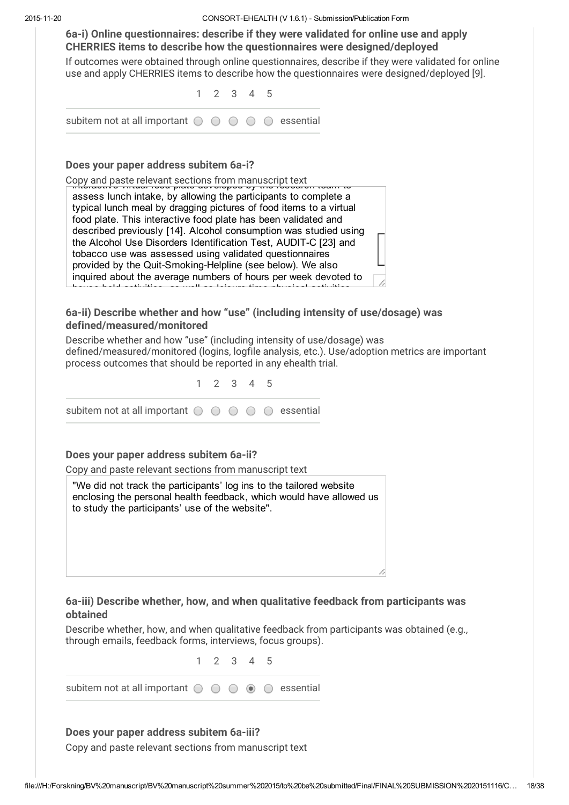6a-i) Online questionnaires: describe if they were validated for online use and apply CHERRIES items to describe how the questionnaires were designed/deployed If outcomes were obtained through online questionnaires, describe if they were validated for online use and apply CHERRIES items to describe how the questionnaires were designed/deployed [9]. 1 2 3 4 5 subitem not at all important  $\bigcirc$   $\bigcirc$   $\bigcirc$   $\bigcirc$   $\bigcirc$  essential

#### Does your paper address subitem 6a-i?

Copy and paste relevant sections from manuscript text<br><del>| interactive virtual food plate developed by the research team to</del>

assess lunch intake, by allowing the participants to complete a typical lunch meal by dragging pictures of food items to a virtual food plate. This interactive food plate has been validated and described previously [14]. Alcohol consumption was studied using the Alcohol Use Disorders Identification Test, AUDIT-C [23] and tobacco use was assessed using validated questionnaires provided by the Quit-Smoking-Helpline (see below). We also inquired about the average numbers of hours per week devoted to house hold activities, as well as leisure time physical activities

### 6a-ii) Describe whether and how "use" (including intensity of use/dosage) was defined/measured/monitored

Describe whether and how "use" (including intensity of use/dosage) was defined/measured/monitored (logins, logfile analysis, etc.). Use/adoption metrics are important process outcomes that should be reported in any ehealth trial.



### Does your paper address subitem 6a-ii?

Copy and paste relevant sections from manuscript text

"We did not track the participants' log ins to the tailored website enclosing the personal health feedback, which would have allowed us to study the participants' use of the website".

### 6a-iii) Describe whether, how, and when qualitative feedback from participants was obtained

Describe whether, how, and when qualitative feedback from participants was obtained (e.g., through emails, feedback forms, interviews, focus groups).

1 2 3 4 5

subitem not at all important  $\circ \circ \circ \circ \circ$  essential

### Does your paper address subitem 6a-iii?

Copy and paste relevant sections from manuscript text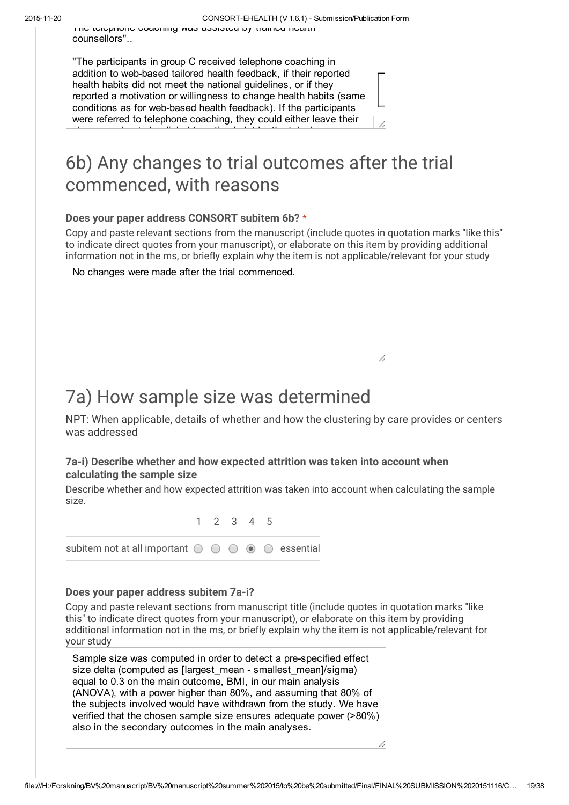The telephone coaching was assisted by trained health counsellors"..

"The participants in group C received telephone coaching in addition to web-based tailored health feedback, if their reported health habits did not meet the national guidelines, or if they reported a motivation or willingness to change health habits (same conditions as for web-based health feedback). If the participants were referred to telephone coaching, they could either leave their

phone number to be dialed (reactive help) by the telephone

# 6b) Any changes to trial outcomes after the trial commenced, with reasons

### Does your paper address CONSORT subitem 6b? \*

Copy and paste relevant sections from the manuscript (include quotes in quotation marks "like this" to indicate direct quotes from your manuscript), or elaborate on this item by providing additional information not in the ms, or briefly explain why the item is not applicable/relevant for your study

No changes were made after the trial commenced.

# 7a) How sample size was determined

NPT: When applicable, details of whether and how the clustering by care provides or centers was addressed

### 7a-i) Describe whether and how expected attrition was taken into account when calculating the sample size

Describe whether and how expected attrition was taken into account when calculating the sample size.

1 2 3 4 5 subitem not at all important  $\bigcirc$   $\bigcirc$   $\bigcirc$   $\bigcirc$   $\bigcirc$  essential

### Does your paper address subitem 7a-i?

Copy and paste relevant sections from manuscript title (include quotes in quotation marks "like this" to indicate direct quotes from your manuscript), or elaborate on this item by providing additional information not in the ms, or briefly explain why the item is not applicable/relevant for your study

Sample size was computed in order to detect a pre-specified effect size delta (computed as [largest\_mean - smallest\_mean]/sigma) equal to 0.3 on the main outcome, BMI, in our main analysis (ANOVA), with a power higher than 80%, and assuming that 80% of the subjects involved would have withdrawn from the study. We have verified that the chosen sample size ensures adequate power (>80%) also in the secondary outcomes in the main analyses.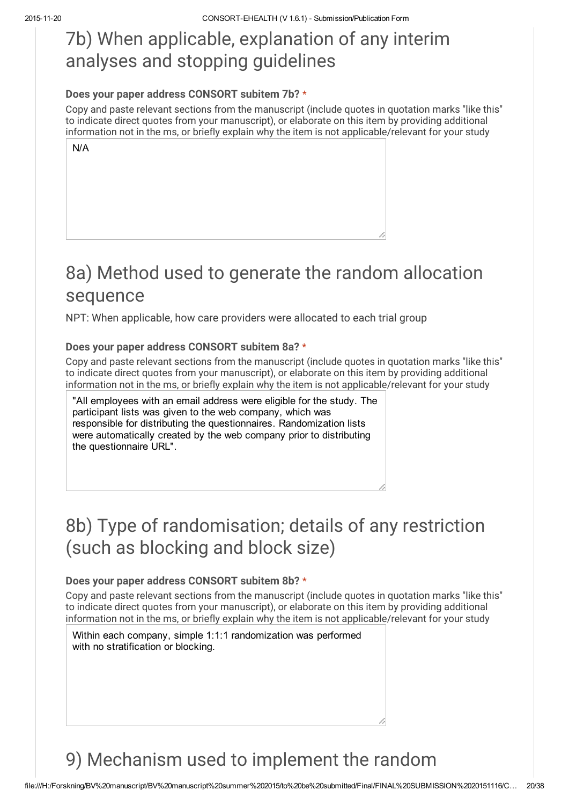# 7b) When applicable, explanation of any interim analyses and stopping guidelines

### Does your paper address CONSORT subitem 7b? \*

Copy and paste relevant sections from the manuscript (include quotes in quotation marks "like this" to indicate direct quotes from your manuscript), or elaborate on this item by providing additional information not in the ms, or briefly explain why the item is not applicable/relevant for your study

| N/A |  |  |
|-----|--|--|
|     |  |  |
|     |  |  |
|     |  |  |
|     |  |  |
|     |  |  |

# 8a) Method used to generate the random allocation sequence

NPT: When applicable, how care providers were allocated to each trial group

### Does your paper address CONSORT subitem 8a? \*

Copy and paste relevant sections from the manuscript (include quotes in quotation marks "like this" to indicate direct quotes from your manuscript), or elaborate on this item by providing additional information not in the ms, or briefly explain why the item is not applicable/relevant for your study

"All employees with an email address were eligible for the study. The participant lists was given to the web company, which was responsible for distributing the questionnaires. Randomization lists were automatically created by the web company prior to distributing the questionnaire URL".

# 8b) Type of randomisation; details of any restriction (such as blocking and block size)

### Does your paper address CONSORT subitem 8b? \*

Copy and paste relevant sections from the manuscript (include quotes in quotation marks "like this" to indicate direct quotes from your manuscript), or elaborate on this item by providing additional information not in the ms, or briefly explain why the item is not applicable/relevant for your study

Within each company, simple 1:1:1 randomization was performed with no stratification or blocking.

# 9) Mechanism used to implement the random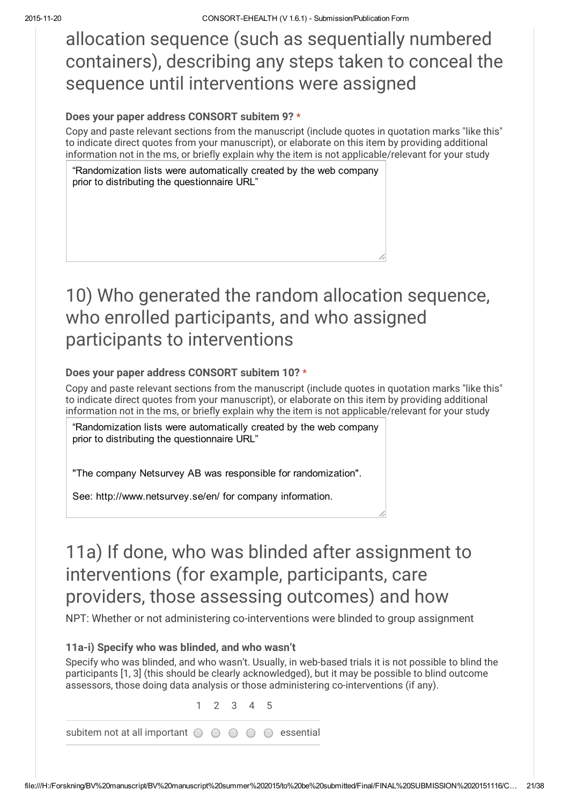allocation sequence (such as sequentially numbered containers), describing any steps taken to conceal the sequence until interventions were assigned

#### Does your paper address CONSORT subitem 9? \*

Copy and paste relevant sections from the manuscript (include quotes in quotation marks "like this" to indicate direct quotes from your manuscript), or elaborate on this item by providing additional information not in the ms, or briefly explain why the item is not applicable/relevant for your study

"Randomization lists were automatically created by the web company prior to distributing the questionnaire URL"

# 10) Who generated the random allocation sequence, who enrolled participants, and who assigned participants to interventions

### Does your paper address CONSORT subitem 10? \*

Copy and paste relevant sections from the manuscript (include quotes in quotation marks "like this" to indicate direct quotes from your manuscript), or elaborate on this item by providing additional information not in the ms, or briefly explain why the item is not applicable/relevant for your study

"Randomization lists were automatically created by the web company prior to distributing the questionnaire URL"

"The company Netsurvey AB was responsible for randomization".

See: http://www.netsurvey.se/en/ for company information.

# 11a) If done, who was blinded after assignment to interventions (for example, participants, care providers, those assessing outcomes) and how

NPT: Whether or not administering co-interventions were blinded to group assignment

### 11a-i) Specify who was blinded, and who wasn't

Specify who was blinded, and who wasn't. Usually, in web-based trials it is not possible to blind the participants [1, 3] (this should be clearly acknowledged), but it may be possible to blind outcome assessors, those doing data analysis or those administering co-interventions (if any).

1 2 3 4 5

subitem not at all important  $\circ \circ \circ \circ \circ$  essential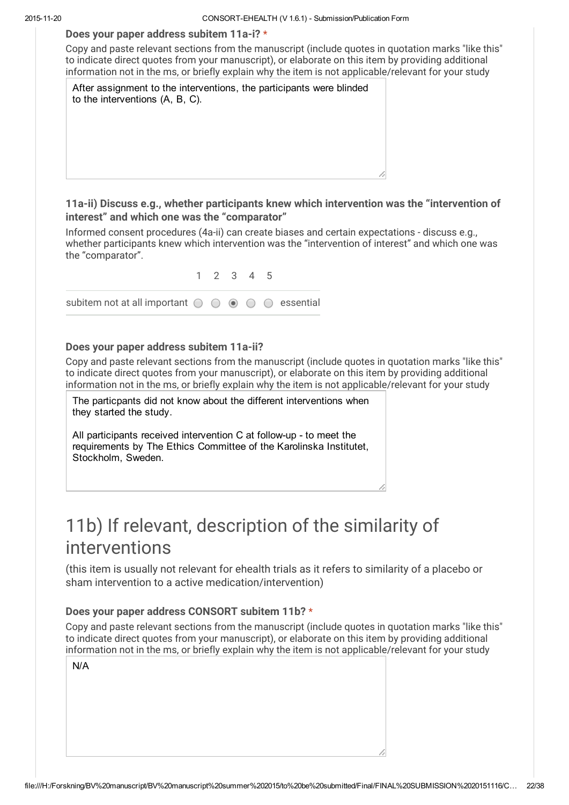#### Does your paper address subitem 11a-i? \*

Copy and paste relevant sections from the manuscript (include quotes in quotation marks "like this" to indicate direct quotes from your manuscript), or elaborate on this item by providing additional information not in the ms, or briefly explain why the item is not applicable/relevant for your study

After assignment to the interventions, the participants were blinded to the interventions (A, B, C).

#### 11a-ii) Discuss e.g., whether participants knew which intervention was the "intervention of interest" and which one was the "comparator"

Informed consent procedures (4a-ii) can create biases and certain expectations - discuss e.g., whether participants knew which intervention was the "intervention of interest" and which one was the "comparator".



### Does your paper address subitem 11a-ii?

Copy and paste relevant sections from the manuscript (include quotes in quotation marks "like this" to indicate direct quotes from your manuscript), or elaborate on this item by providing additional information not in the ms, or briefly explain why the item is not applicable/relevant for your study

The particpants did not know about the different interventions when they started the study.

All participants received intervention C at follow-up - to meet the requirements by The Ethics Committee of the Karolinska Institutet, Stockholm, Sweden.

# 11b) If relevant, description of the similarity of interventions

(this item is usually not relevant for ehealth trials as it refers to similarity of a placebo or sham intervention to a active medication/intervention)

### Does your paper address CONSORT subitem 11b? \*

| N/A |  |  |  |
|-----|--|--|--|
|     |  |  |  |
|     |  |  |  |
|     |  |  |  |
|     |  |  |  |
|     |  |  |  |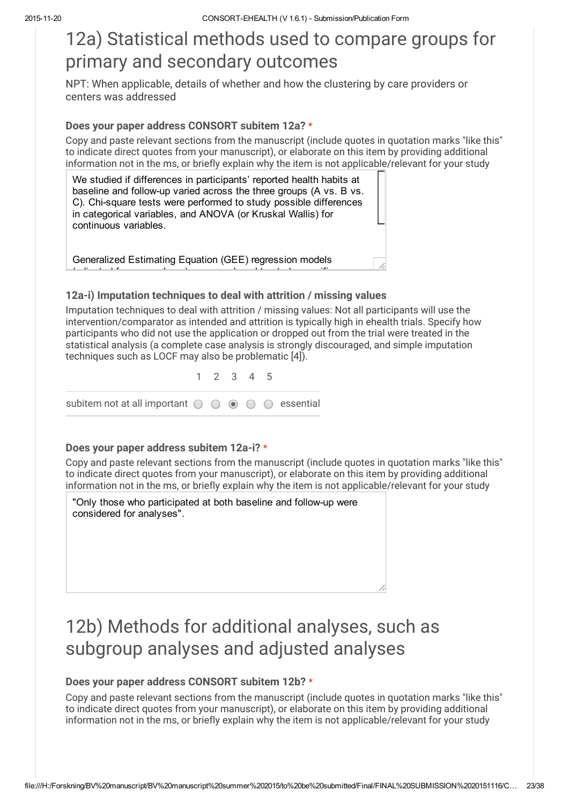# 12a) Statistical methods used to compare groups for primary and secondary outcomes

NPT: When applicable, details of whether and how the clustering by care providers or centers was addressed

#### Does your paper address CONSORT subitem 12a? \*

Copy and paste relevant sections from the manuscript (include quotes in quotation marks "like this" to indicate direct quotes from your manuscript), or elaborate on this item by providing additional information not in the ms, or briefly explain why the item is not applicable/relevant for your study

We studied if differences in participants' reported health habits at baseline and followup varied across the three groups (A vs. B vs. C). Chi-square tests were performed to study possible differences in categorical variables, and ANOVA (or Kruskal Wallis) for continuous variables.

Generalized Estimating Equation (GEE) regression models  $\ell$  and agent for sex and agent to study specific to study specific to study specific

### 12a-i) Imputation techniques to deal with attrition / missing values

Imputation techniques to deal with attrition / missing values: Not all participants will use the intervention/comparator as intended and attrition is typically high in ehealth trials. Specify how participants who did not use the application or dropped out from the trial were treated in the statistical analysis (a complete case analysis is strongly discouraged, and simple imputation techniques such as LOCF may also be problematic [4]).

1 2 3 4 5 subitem not at all important  $\bigcirc$   $\bigcirc$   $\circ$   $\bigcirc$   $\bigcirc$  essential

#### Does your paper address subitem 12a-i? \*

Copy and paste relevant sections from the manuscript (include quotes in quotation marks "like this" to indicate direct quotes from your manuscript), or elaborate on this item by providing additional information not in the ms, or briefly explain why the item is not applicable/relevant for your study

"Only those who participated at both baseline and follow-up were considered for analyses".

# 12b) Methods for additional analyses, such as subgroup analyses and adjusted analyses

### Does your paper address CONSORT subitem 12b? \*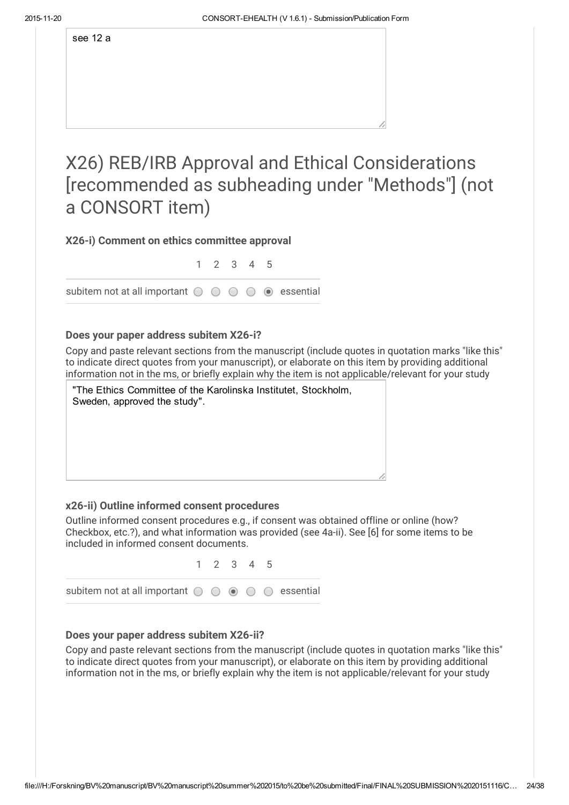see 12 a

X26) REB/IRB Approval and Ethical Considerations [recommended as subheading under "Methods"] (not a CONSORT item)

### X26-i) Comment on ethics committee approval

1 2 3 4 5

subitem not at all important  $\circ \circ \circ \circ \circ \bullet$  essential

### Does your paper address subitem X26-i?

Copy and paste relevant sections from the manuscript (include quotes in quotation marks "like this" to indicate direct quotes from your manuscript), or elaborate on this item by providing additional information not in the ms, or briefly explain why the item is not applicable/relevant for your study

| "The Ethics Committee of the Karolinska Institutet, Stockholm,<br>Sweden, approved the study". |
|------------------------------------------------------------------------------------------------|
|                                                                                                |
|                                                                                                |
|                                                                                                |
|                                                                                                |

### x26-ii) Outline informed consent procedures

Outline informed consent procedures e.g., if consent was obtained offline or online (how? Checkbox, etc.?), and what information was provided (see 4a-ii). See [6] for some items to be included in informed consent documents.



### Does your paper address subitem X26-ii?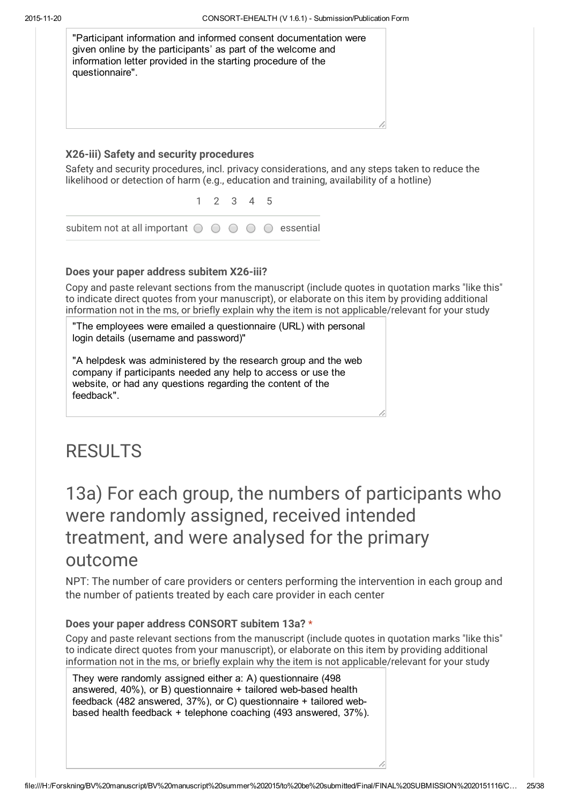| "Participant information and informed consent documentation were<br>given online by the participants' as part of the welcome and<br>information letter provided in the starting procedure of the<br>questionnaire". |  |
|---------------------------------------------------------------------------------------------------------------------------------------------------------------------------------------------------------------------|--|
|                                                                                                                                                                                                                     |  |
| X26-iii) Safety and security procedures                                                                                                                                                                             |  |
| Safety and security procedures, incl. privacy considerations, and any steps taken to reduce the<br>likelihood or detection of harm (e.g., education and training, availability of a hotline)                        |  |

1 2 3 4 5 subitem not at all important  $\bigcirc$   $\bigcirc$   $\bigcirc$   $\bigcirc$   $\bigcirc$  essential

### Does your paper address subitem X26-iii?

Copy and paste relevant sections from the manuscript (include quotes in quotation marks "like this" to indicate direct quotes from your manuscript), or elaborate on this item by providing additional information not in the ms, or briefly explain why the item is not applicable/relevant for your study

"The employees were emailed a questionnaire (URL) with personal login details (username and password)"

"A helpdesk was administered by the research group and the web company if participants needed any help to access or use the website, or had any questions regarding the content of the feedback".

### RESULTS

# 13a) For each group, the numbers of participants who were randomly assigned, received intended treatment, and were analysed for the primary outcome

NPT: The number of care providers or centers performing the intervention in each group and the number of patients treated by each care provider in each center

### Does your paper address CONSORT subitem 13a? \*

Copy and paste relevant sections from the manuscript (include quotes in quotation marks "like this" to indicate direct quotes from your manuscript), or elaborate on this item by providing additional information not in the ms, or briefly explain why the item is not applicable/relevant for your study

They were randomly assigned either a: A) questionnaire (498 answered,  $40\%$ ), or B) questionnaire  $+$  tailored web-based health feedback (482 answered, 37%), or C) questionnaire + tailored webbased health feedback + telephone coaching (493 answered, 37%).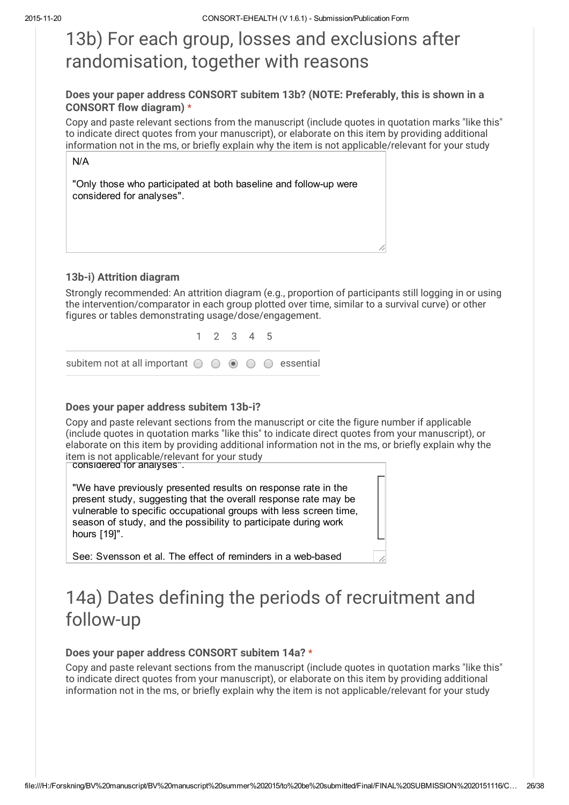# 13b) For each group, losses and exclusions after randomisation, together with reasons

### Does your paper address CONSORT subitem 13b? (NOTE: Preferably, this is shown in a CONSORT flow diagram) \*

Copy and paste relevant sections from the manuscript (include quotes in quotation marks "like this" to indicate direct quotes from your manuscript), or elaborate on this item by providing additional information not in the ms, or briefly explain why the item is not applicable/relevant for your study

| N/A                                                                                           |  |
|-----------------------------------------------------------------------------------------------|--|
| "Only those who participated at both baseline and follow-up were<br>considered for analyses". |  |
|                                                                                               |  |

### 13b-i) Attrition diagram

Strongly recommended: An attrition diagram (e.g., proportion of participants still logging in or using the intervention/comparator in each group plotted over time, similar to a survival curve) or other figures or tables demonstrating usage/dose/engagement.

|                                                                                            | 1 2 3 4 5 |  |  |
|--------------------------------------------------------------------------------------------|-----------|--|--|
| subitem not at all important $\bigcirc$ $\bigcirc$ $\circ$ $\bigcirc$ $\bigcirc$ essential |           |  |  |

### Does your paper address subitem 13b-i?

Copy and paste relevant sections from the manuscript or cite the figure number if applicable (include quotes in quotation marks "like this" to indicate direct quotes from your manuscript), or elaborate on this item by providing additional information not in the ms, or briefly explain why the item is not applicable/relevant for your study

considered for analyses".

"We have previously presented results on response rate in the present study, suggesting that the overall response rate may be vulnerable to specific occupational groups with less screen time, season of study, and the possibility to participate during work hours [19]".

See: Svensson et al. The effect of reminders in a web-based

# 14a) Dates defining the periods of recruitment and follow-up

### Does your paper address CONSORT subitem 14a? \*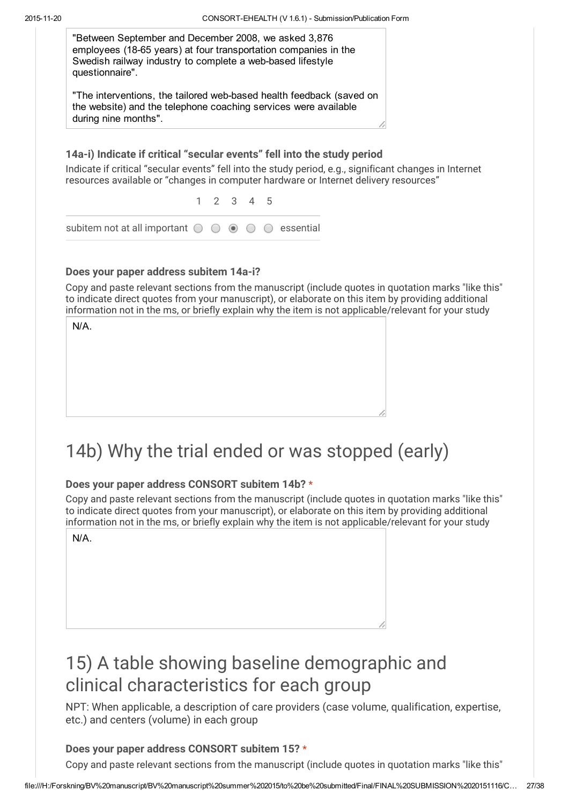

### Does your paper address subitem 14a-i?

Copy and paste relevant sections from the manuscript (include quotes in quotation marks "like this" to indicate direct quotes from your manuscript), or elaborate on this item by providing additional information not in the ms, or briefly explain why the item is not applicable/relevant for your study

| N/A. |  |  |
|------|--|--|
|      |  |  |
|      |  |  |
|      |  |  |
|      |  |  |
|      |  |  |

# 14b) Why the trial ended or was stopped (early)

### Does your paper address CONSORT subitem 14b? \*

Copy and paste relevant sections from the manuscript (include quotes in quotation marks "like this" to indicate direct quotes from your manuscript), or elaborate on this item by providing additional information not in the ms, or briefly explain why the item is not applicable/relevant for your study

N/A.

# 15) A table showing baseline demographic and clinical characteristics for each group

NPT: When applicable, a description of care providers (case volume, qualification, expertise, etc.) and centers (volume) in each group

### Does your paper address CONSORT subitem 15? \*

Copy and paste relevant sections from the manuscript (include quotes in quotation marks "like this"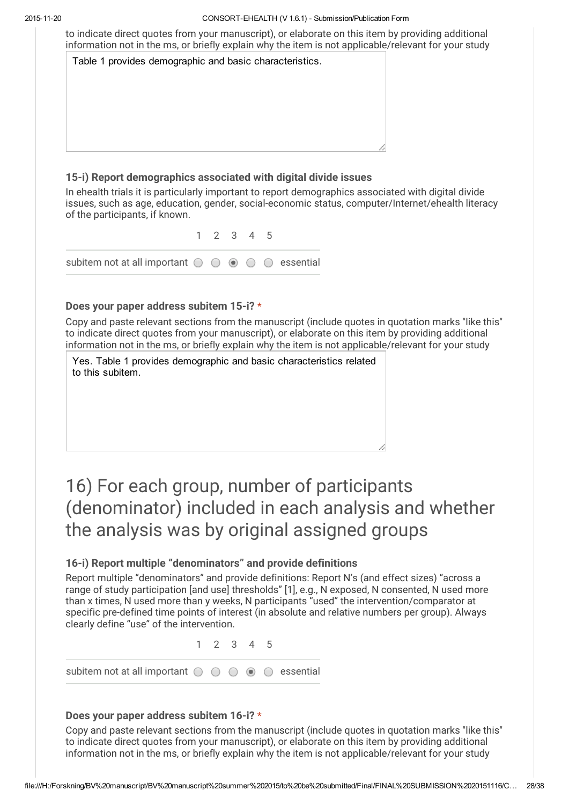to indicate direct quotes from your manuscript), or elaborate on this item by providing additional information not in the ms, or briefly explain why the item is not applicable/relevant for your study

| Table 1 provides demographic and basic characteristics. |  |
|---------------------------------------------------------|--|
|                                                         |  |
|                                                         |  |
|                                                         |  |
|                                                         |  |
|                                                         |  |
|                                                         |  |

### 15-i) Report demographics associated with digital divide issues

In ehealth trials it is particularly important to report demographics associated with digital divide issues, such as age, education, gender, social-economic status, computer/Internet/ehealth literacy of the participants, if known.

|                                                                                               |  | 1 2 3 4 5 |  |  |
|-----------------------------------------------------------------------------------------------|--|-----------|--|--|
| subitem not at all important $\bigcirc$ $\bigcirc$ $\bigcirc$ $\bigcirc$ $\bigcirc$ essential |  |           |  |  |

#### Does your paper address subitem 15-i? \*

Copy and paste relevant sections from the manuscript (include quotes in quotation marks "like this" to indicate direct quotes from your manuscript), or elaborate on this item by providing additional information not in the ms, or briefly explain why the item is not applicable/relevant for your study

Yes. Table 1 provides demographic and basic characteristics related to this subitem.

# 16) For each group, number of participants (denominator) included in each analysis and whether the analysis was by original assigned groups

### 16-i) Report multiple "denominators" and provide definitions

Report multiple "denominators" and provide definitions: Report N's (and effect sizes) "across a range of study participation [and use] thresholds" [1], e.g., N exposed, N consented, N used more than x times, N used more than y weeks, N participants "used" the intervention/comparator at specific pre-defined time points of interest (in absolute and relative numbers per group). Always clearly define "use" of the intervention.

1 2 3 4 5

subitem not at all important  $\bigcirc$   $\bigcirc$   $\bigcirc$   $\bigcirc$   $\bigcirc$  essential

#### Does your paper address subitem 16-i? \*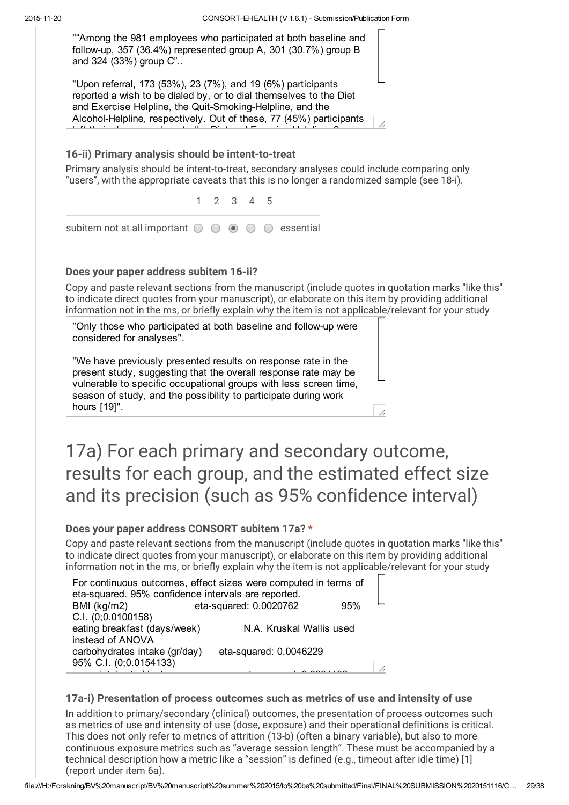""Among the 981 employees who participated at both baseline and follow-up, 357 (36.4%) represented group A, 301 (30.7%) group B and 324 (33%) group C"..

"Upon referral, 173 (53%), 23 (7%), and 19 (6%) participants reported a wish to be dialed by, or to dial themselves to the Diet and Exercise Helpline, the Quit-Smoking-Helpline, and the Alcohol-Helpline, respectively. Out of these, 77 (45%) participants left their phone numbers to the Diet and Exercise Helpline, 9

1 2 3 4 5

#### 16-ii) Primary analysis should be intent-to-treat

Primary analysis should be intent-to-treat, secondary analyses could include comparing only "users", with the appropriate caveats that this is no longer a randomized sample (see 18-i).

| subitem not at all important $\bigcirc$ $\bigcirc$ $\circ$ $\bigcirc$ $\bigcirc$ essential |  |  |  |
|--------------------------------------------------------------------------------------------|--|--|--|

#### Does your paper address subitem 16-ii?

Copy and paste relevant sections from the manuscript (include quotes in quotation marks "like this" to indicate direct quotes from your manuscript), or elaborate on this item by providing additional information not in the ms, or briefly explain why the item is not applicable/relevant for your study

"Only those who participated at both baseline and followup were considered for analyses".

"We have previously presented results on response rate in the present study, suggesting that the overall response rate may be vulnerable to specific occupational groups with less screen time, season of study, and the possibility to participate during work hours [19]".

# 17a) For each primary and secondary outcome, results for each group, and the estimated effect size and its precision (such as 95% confidence interval)

### Does your paper address CONSORT subitem 17a? \*

Copy and paste relevant sections from the manuscript (include quotes in quotation marks "like this" to indicate direct quotes from your manuscript), or elaborate on this item by providing additional information not in the ms, or briefly explain why the item is not applicable/relevant for your study

| For continuous outcomes, effect sizes were computed in terms of |                          |     |  |  |  |  |
|-----------------------------------------------------------------|--------------------------|-----|--|--|--|--|
| eta-squared. 95% confidence intervals are reported.             |                          |     |  |  |  |  |
| BMI (kg/m2)                                                     | eta-squared: 0.0020762   | 95% |  |  |  |  |
| C.I. (0;0.0100158)                                              |                          |     |  |  |  |  |
| eating breakfast (days/week)                                    | N.A. Kruskal Wallis used |     |  |  |  |  |
| instead of ANOVA                                                |                          |     |  |  |  |  |
| carbohydrates intake (gr/day)                                   | eta-squared: 0.0046229   |     |  |  |  |  |
| 95% C.I. (0;0.0154133)                                          |                          |     |  |  |  |  |
|                                                                 |                          |     |  |  |  |  |

### 17a-i) Presentation of process outcomes such as metrics of use and intensity of use

In addition to primary/secondary (clinical) outcomes, the presentation of process outcomes such as metrics of use and intensity of use (dose, exposure) and their operational definitions is critical. This does not only refer to metrics of attrition (13-b) (often a binary variable), but also to more continuous exposure metrics such as "average session length". These must be accompanied by a technical description how a metric like a "session" is defined (e.g., timeout after idle time) [1] (report under item 6a).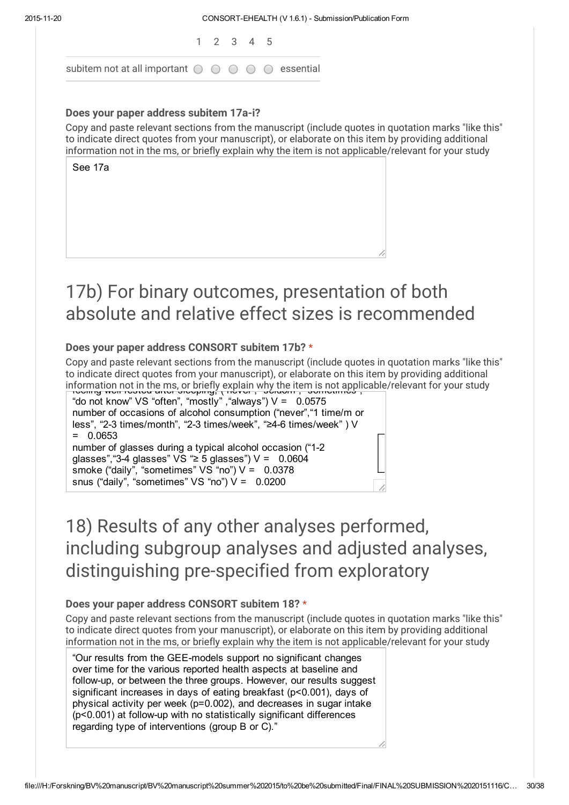|                                                                                               | 1 2 3 4 5 |  |  |
|-----------------------------------------------------------------------------------------------|-----------|--|--|
| subitem not at all important $\bigcirc$ $\bigcirc$ $\bigcirc$ $\bigcirc$ $\bigcirc$ essential |           |  |  |

#### Does your paper address subitem 17a-i?

Copy and paste relevant sections from the manuscript (include quotes in quotation marks "like this" to indicate direct quotes from your manuscript), or elaborate on this item by providing additional information not in the ms, or briefly explain why the item is not applicable/relevant for your study

See 17a

# 17b) For binary outcomes, presentation of both absolute and relative effect sizes is recommended

### Does your paper address CONSORT subitem 17b? \*

Copy and paste relevant sections from the manuscript (include quotes in quotation marks "like this" to indicate direct quotes from your manuscript), or elaborate on this item by providing additional information not in the ms, or briefly explain why the item is not applicable/relevant for your study<br>Freemig well-rested after sleeping, ("never", "seldom", "sometimes",



# 18) Results of any other analyses performed, including subgroup analyses and adjusted analyses, distinguishing pre-specified from exploratory

### Does your paper address CONSORT subitem 18? \*

Copy and paste relevant sections from the manuscript (include quotes in quotation marks "like this" to indicate direct quotes from your manuscript), or elaborate on this item by providing additional information not in the ms, or briefly explain why the item is not applicable/relevant for your study

"Our results from the GEEmodels support no significant changes over time for the various reported health aspects at baseline and follow-up, or between the three groups. However, our results suggest significant increases in days of eating breakfast (p<0.001), days of physical activity per week (p=0.002), and decreases in sugar intake (p<0.001) at followup with no statistically significant differences regarding type of interventions (group B or C)."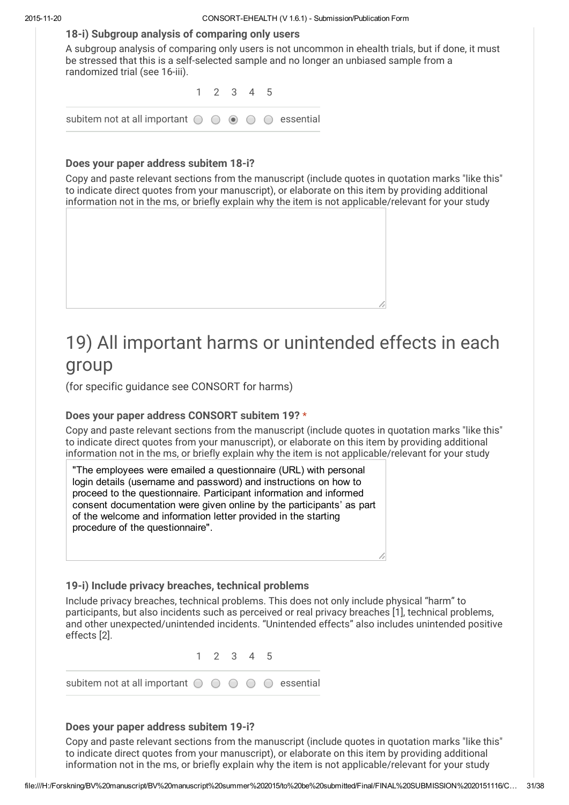#### 18-i) Subgroup analysis of comparing only users

A subgroup analysis of comparing only users is not uncommon in ehealth trials, but if done, it must be stressed that this is a self-selected sample and no longer an unbiased sample from a randomized trial (see 16-iii).

|                                                                                               | 1 2 3 4 5 |  |  |
|-----------------------------------------------------------------------------------------------|-----------|--|--|
| subitem not at all important $\bigcirc$ $\bigcirc$ $\bigcirc$ $\bigcirc$ $\bigcirc$ essential |           |  |  |

#### Does your paper address subitem 18-i?

Copy and paste relevant sections from the manuscript (include quotes in quotation marks "like this" to indicate direct quotes from your manuscript), or elaborate on this item by providing additional information not in the ms, or briefly explain why the item is not applicable/relevant for your study



(for specific guidance see CONSORT for harms)

### Does your paper address CONSORT subitem 19? \*

Copy and paste relevant sections from the manuscript (include quotes in quotation marks "like this" to indicate direct quotes from your manuscript), or elaborate on this item by providing additional information not in the ms, or briefly explain why the item is not applicable/relevant for your study

"The employees were emailed a questionnaire (URL) with personal login details (username and password) and instructions on how to proceed to the questionnaire. Participant information and informed consent documentation were given online by the participants' as part of the welcome and information letter provided in the starting procedure of the questionnaire".

### 19-i) Include privacy breaches, technical problems

Include privacy breaches, technical problems. This does not only include physical "harm" to participants, but also incidents such as perceived or real privacy breaches [1], technical problems, and other unexpected/unintended incidents. "Unintended effects" also includes unintended positive effects [2].

1 2 3 4 5

subitem not at all important  $\bigcirc$   $\bigcirc$   $\bigcirc$   $\bigcirc$   $\bigcirc$  essential

### Does your paper address subitem 19-i?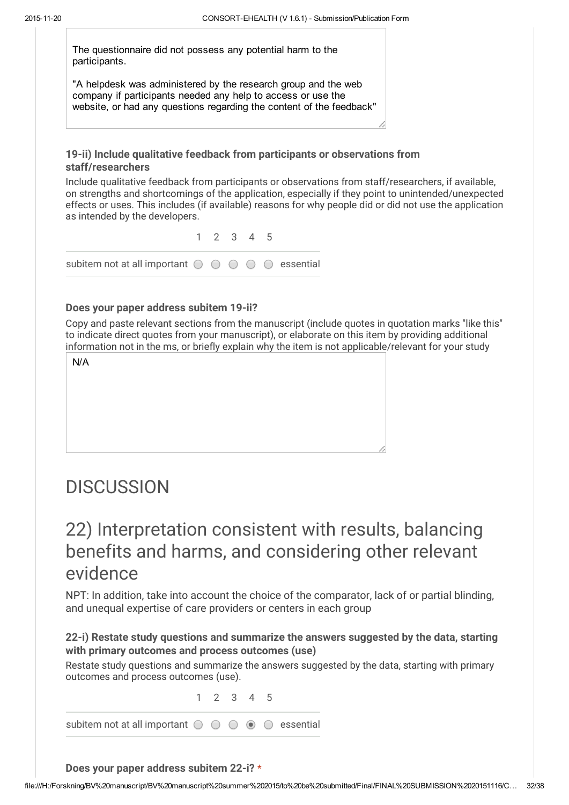The questionnaire did not possess any potential harm to the participants.

"A helpdesk was administered by the research group and the web company if participants needed any help to access or use the website, or had any questions regarding the content of the feedback"

### 19-ii) Include qualitative feedback from participants or observations from staff/researchers

Include qualitative feedback from participants or observations from staff/researchers, if available, on strengths and shortcomings of the application, especially if they point to unintended/unexpected effects or uses. This includes (if available) reasons for why people did or did not use the application as intended by the developers.

1 2 3 4 5 subitem not at all important  $\bigcirc$   $\bigcirc$   $\bigcirc$   $\bigcirc$   $\bigcirc$  essential

### Does your paper address subitem 19-ii?

Copy and paste relevant sections from the manuscript (include quotes in quotation marks "like this" to indicate direct quotes from your manuscript), or elaborate on this item by providing additional information not in the ms, or briefly explain why the item is not applicable/relevant for your study

# **DISCUSSION**

### 22) Interpretation consistent with results, balancing benefits and harms, and considering other relevant evidence

NPT: In addition, take into account the choice of the comparator, lack of or partial blinding, and unequal expertise of care providers or centers in each group

### 22-i) Restate study questions and summarize the answers suggested by the data, starting with primary outcomes and process outcomes (use)

Restate study questions and summarize the answers suggested by the data, starting with primary outcomes and process outcomes (use).

1 2 3 4 5

subitem not at all important  $\bigcirc$   $\bigcirc$   $\bigcirc$   $\bigcirc$   $\bigcirc$  essential

Does your paper address subitem 22-i? \*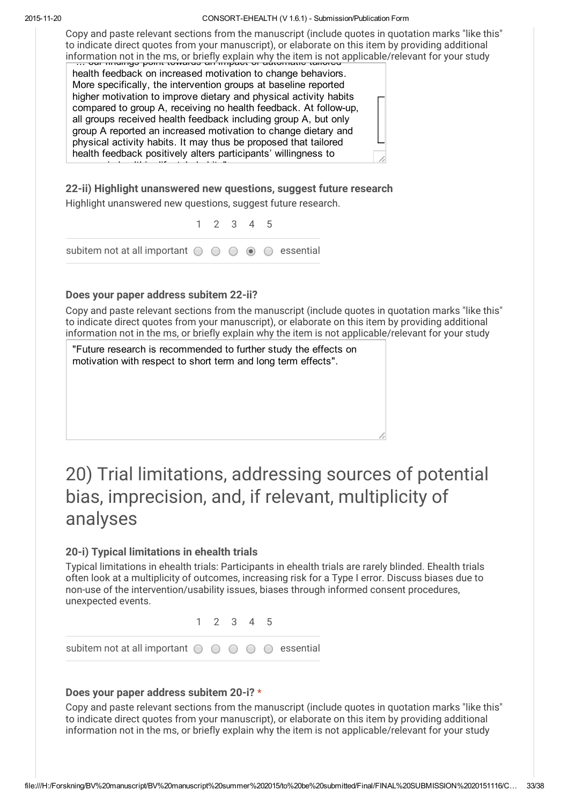Copy and paste relevant sections from the manuscript (include quotes in quotation marks "like this" to indicate direct quotes from your manuscript), or elaborate on this item by providing additional information not in the ms, or briefly explain why the item is not applicable/relevant for your study<br>—… our midings point towards an impact or adtomatic tailored

health feedback on increased motivation to change behaviors. More specifically, the intervention groups at baseline reported higher motivation to improve dietary and physical activity habits compared to group A, receiving no health feedback. At follow-up, all groups received health feedback including group A, but only group A reported an increased motivation to change dietary and physical activity habits. It may thus be proposed that tailored health feedback positively alters participants' willingness to

22-ii) Highlight unanswered new questions, suggest future research Highlight unanswered new questions, suggest future research.

1 2 3 4 5

subitem not at all important  $\bigcirc$   $\bigcirc$   $\bigcirc$   $\bigcirc$   $\bigcirc$  essential

### Does your paper address subitem 22-ii?

engage in healthier lifestyle habits in healthier lifestyle habits.<br>"It is a statement of the statement of the statement of the statement of the statement of the statement of the

Copy and paste relevant sections from the manuscript (include quotes in quotation marks "like this" to indicate direct quotes from your manuscript), or elaborate on this item by providing additional information not in the ms, or briefly explain why the item is not applicable/relevant for your study

"Future research is recommended to further study the effects on motivation with respect to short term and long term effects".

# 20) Trial limitations, addressing sources of potential bias, imprecision, and, if relevant, multiplicity of analyses

### 20-i) Typical limitations in ehealth trials

Typical limitations in ehealth trials: Participants in ehealth trials are rarely blinded. Ehealth trials often look at a multiplicity of outcomes, increasing risk for a Type I error. Discuss biases due to non-use of the intervention/usability issues, biases through informed consent procedures, unexpected events.

subitem not at all important  $\bigcirc$   $\bigcirc$   $\bigcirc$   $\bigcirc$   $\bigcirc$  essential

1 2 3 4 5

#### Does your paper address subitem 20-i? \*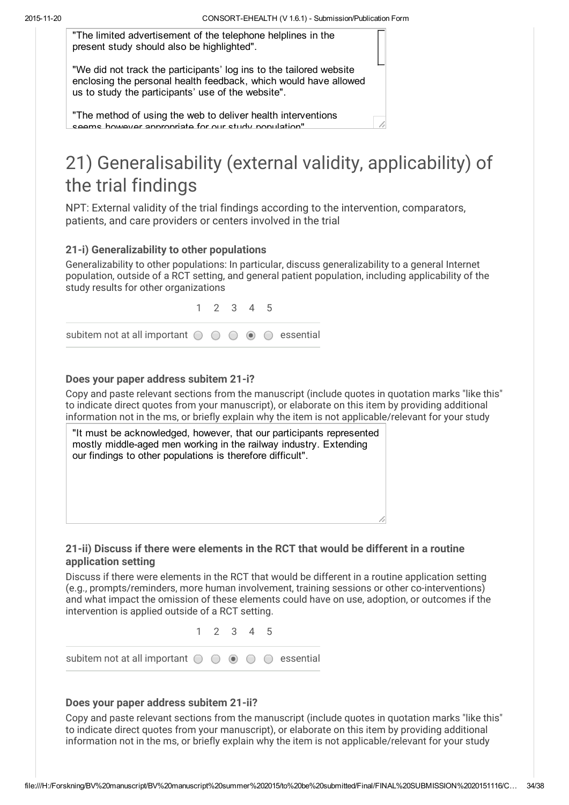"The limited advertisement of the telephone helplines in the present study should also be highlighted".

"We did not track the participants' log ins to the tailored website enclosing the personal health feedback, which would have allowed us to study the participants' use of the website".

"The method of using the web to deliver health interventions seems however annronriate for our study nonulation"

# 21) Generalisability (external validity, applicability) of the trial findings

NPT: External validity of the trial findings according to the intervention, comparators, patients, and care providers or centers involved in the trial

### 21-i) Generalizability to other populations

Generalizability to other populations: In particular, discuss generalizability to a general Internet population, outside of a RCT setting, and general patient population, including applicability of the study results for other organizations

1 2 3 4 5 subitem not at all important  $\bigcirc$   $\bigcirc$   $\bigcirc$   $\bigcirc$   $\bigcirc$  essential

### Does your paper address subitem 21-i?

Copy and paste relevant sections from the manuscript (include quotes in quotation marks "like this" to indicate direct quotes from your manuscript), or elaborate on this item by providing additional information not in the ms, or briefly explain why the item is not applicable/relevant for your study



### 21-ii) Discuss if there were elements in the RCT that would be different in a routine application setting

Discuss if there were elements in the RCT that would be different in a routine application setting (e.g., prompts/reminders, more human involvement, training sessions or other co-interventions) and what impact the omission of these elements could have on use, adoption, or outcomes if the intervention is applied outside of a RCT setting.



#### Does your paper address subitem 21-ii?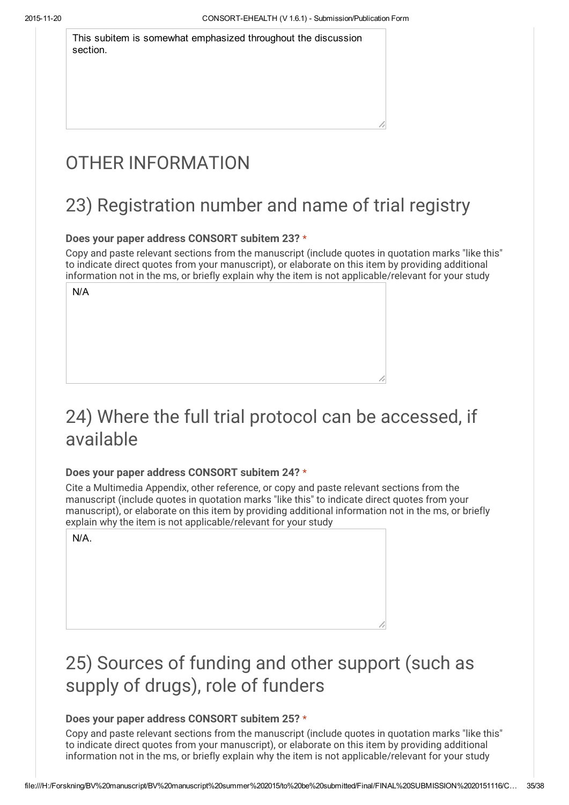This subitem is somewhat emphasized throughout the discussion section.

# OTHER INFORMATION

# 23) Registration number and name of trial registry

### Does your paper address CONSORT subitem 23? \*

Copy and paste relevant sections from the manuscript (include quotes in quotation marks "like this" to indicate direct quotes from your manuscript), or elaborate on this item by providing additional information not in the ms, or briefly explain why the item is not applicable/relevant for your study

N/A

# 24) Where the full trial protocol can be accessed, if available

### Does your paper address CONSORT subitem 24? \*

Cite a Multimedia Appendix, other reference, or copy and paste relevant sections from the manuscript (include quotes in quotation marks "like this" to indicate direct quotes from your manuscript), or elaborate on this item by providing additional information not in the ms, or briefly explain why the item is not applicable/relevant for your study

N/A.

# 25) Sources of funding and other support (such as supply of drugs), role of funders

### Does your paper address CONSORT subitem 25? \*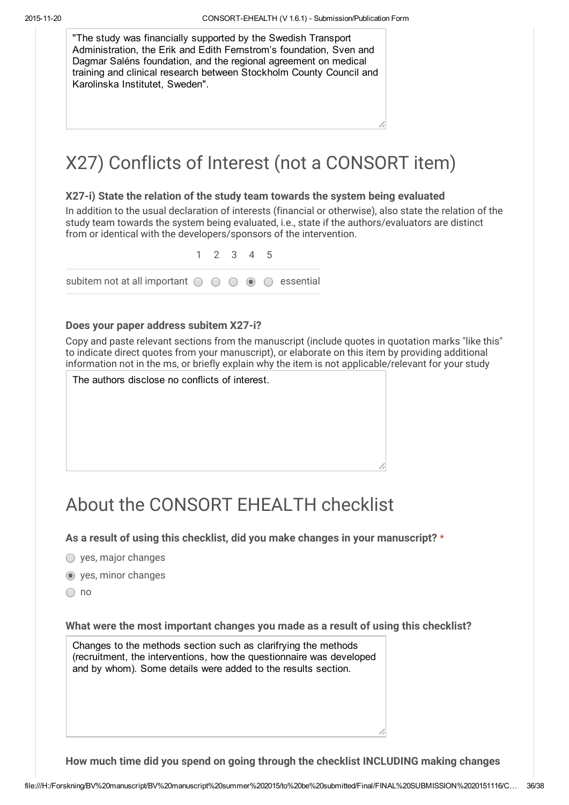"The study was financially supported by the Swedish Transport Administration, the Erik and Edith Fernstrom's foundation, Sven and Dagmar Saléns foundation, and the regional agreement on medical training and clinical research between Stockholm County Council and Karolinska Institutet, Sweden".

# X27) Conflicts of Interest (not a CONSORT item)

### X27-i) State the relation of the study team towards the system being evaluated

In addition to the usual declaration of interests (financial or otherwise), also state the relation of the study team towards the system being evaluated, i.e., state if the authors/evaluators are distinct from or identical with the developers/sponsors of the intervention.

1 2 3 4 5 subitem not at all important  $\bigcirc$   $\bigcirc$   $\bigcirc$   $\bigcirc$   $\bigcirc$  essential

#### Does your paper address subitem X27-i?

Copy and paste relevant sections from the manuscript (include quotes in quotation marks "like this" to indicate direct quotes from your manuscript), or elaborate on this item by providing additional information not in the ms, or briefly explain why the item is not applicable/relevant for your study

| The authors disclose no conflicts of interest. |  |  |  |  |  |  |
|------------------------------------------------|--|--|--|--|--|--|
|------------------------------------------------|--|--|--|--|--|--|

# About the CONSORT EHEALTH checklist

As a result of using this checklist, did you make changes in your manuscript? \*

- $\bigcirc$  yes, major changes
- yes, minor changes
- $\bigcirc$  no

What were the most important changes you made as a result of using this checklist?

Changes to the methods section such as clarifrying the methods (recruitment, the interventions, how the questionnaire was developed and by whom). Some details were added to the results section.

How much time did you spend on going through the checklist INCLUDING making changes